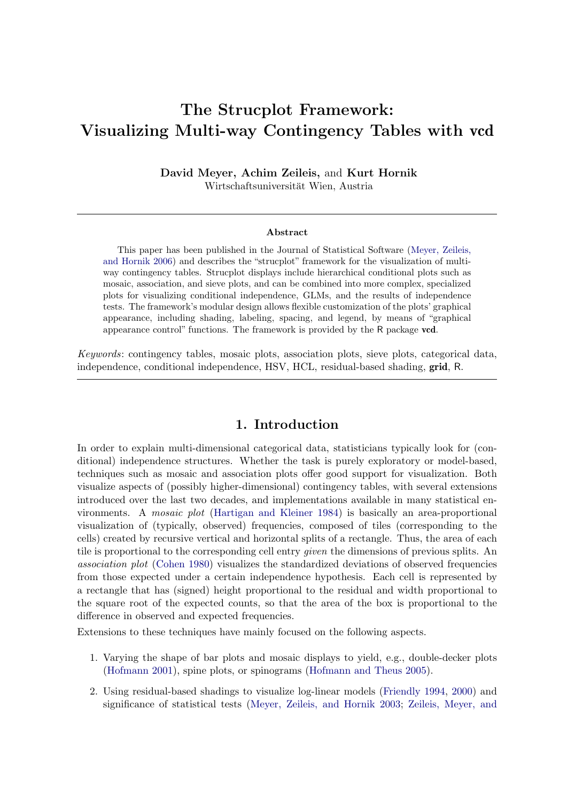# The Strucplot Framework: Visualizing Multi-way Contingency Tables with vcd

David Meyer, Achim Zeileis, and Kurt Hornik Wirtschaftsuniversität Wien, Austria

#### Abstract

This paper has been published in the Journal of Statistical Software [\(Meyer, Zeileis,](#page-45-0) [and Hornik](#page-45-0) [2006\)](#page-45-0) and describes the "strucplot" framework for the visualization of multiway contingency tables. Strucplot displays include hierarchical conditional plots such as mosaic, association, and sieve plots, and can be combined into more complex, specialized plots for visualizing conditional independence, GLMs, and the results of independence tests. The framework's modular design allows flexible customization of the plots' graphical appearance, including shading, labeling, spacing, and legend, by means of "graphical appearance control" functions. The framework is provided by the R package vcd.

Keywords: contingency tables, mosaic plots, association plots, sieve plots, categorical data, independence, conditional independence, HSV, HCL, residual-based shading, grid, R.

### 1. Introduction

In order to explain multi-dimensional categorical data, statisticians typically look for (conditional) independence structures. Whether the task is purely exploratory or model-based, techniques such as mosaic and association plots offer good support for visualization. Both visualize aspects of (possibly higher-dimensional) contingency tables, with several extensions introduced over the last two decades, and implementations available in many statistical environments. A mosaic plot [\(Hartigan and Kleiner](#page-45-1) [1984\)](#page-45-1) is basically an area-proportional visualization of (typically, observed) frequencies, composed of tiles (corresponding to the cells) created by recursive vertical and horizontal splits of a rectangle. Thus, the area of each tile is proportional to the corresponding cell entry *given* the dimensions of previous splits. An association plot [\(Cohen](#page-43-0) [1980\)](#page-43-0) visualizes the standardized deviations of observed frequencies from those expected under a certain independence hypothesis. Each cell is represented by a rectangle that has (signed) height proportional to the residual and width proportional to the square root of the expected counts, so that the area of the box is proportional to the difference in observed and expected frequencies.

Extensions to these techniques have mainly focused on the following aspects.

- 1. Varying the shape of bar plots and mosaic displays to yield, e.g., double-decker plots [\(Hofmann](#page-45-2) [2001\)](#page-45-2), spine plots, or spinograms [\(Hofmann and Theus](#page-45-3) [2005\)](#page-45-3).
- 2. Using residual-based shadings to visualize log-linear models [\(Friendly](#page-43-1) [1994,](#page-43-1) [2000\)](#page-43-2) and significance of statistical tests [\(Meyer, Zeileis, and Hornik](#page-45-4) [2003;](#page-45-4) [Zeileis, Meyer, and](#page-46-0)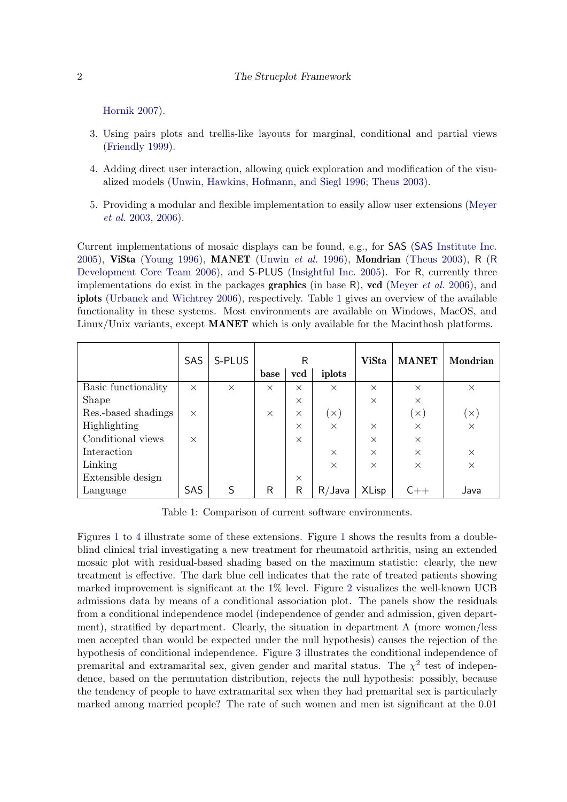#### 2 [The Strucplot Framework](#page-46-0)

[Hornik](#page-46-0) [2007\)](#page-46-0).

- 3. Using pairs plots and trellis-like layouts for marginal, conditional and partial views [\(Friendly](#page-43-3) [1999\)](#page-43-3).
- 4. Adding direct user interaction, allowing quick exploration and modification of the visualized models [\(Unwin, Hawkins, Hofmann, and Siegl](#page-46-1) [1996;](#page-46-1) [Theus](#page-45-5) [2003\)](#page-45-5).
- 5. Providing a modular and flexible implementation to easily allow user extensions [\(Meyer](#page-45-4) [et al.](#page-45-4) [2003,](#page-45-4) [2006\)](#page-45-0).

Current implementations of mosaic displays can be found, e.g., for SAS (SAS [Institute Inc.](#page-45-6) [2005\)](#page-45-6), ViSta [\(Young](#page-46-2) [1996\)](#page-46-2), MANET [\(Unwin](#page-46-1) et al. [1996\)](#page-46-1), Mondrian [\(Theus](#page-45-5) [2003\)](#page-45-5), R ([R](#page-45-7) [Development Core Team](#page-45-7) [2006\)](#page-45-7), and **S-PLUS** [\(Insightful Inc.](#page-45-8) [2005\)](#page-45-8). For R, currently three implementations do exist in the packages **graphics** (in base R), ved [\(Meyer](#page-45-0) *et al.* [2006\)](#page-45-0), and iplots [\(Urbanek and Wichtrey](#page-46-3) [2006\)](#page-46-3), respectively. Table [1](#page-1-0) gives an overview of the available functionality in these systems. Most environments are available on Windows, MacOS, and Linux/Unix variants, except **MANET** which is only available for the Macinthosh platforms.

|                     | SAS      | S-PLUS   |          | R        |            | <b>ViSta</b> | <b>MANET</b> | Mondrian   |
|---------------------|----------|----------|----------|----------|------------|--------------|--------------|------------|
|                     |          |          | base     | vcd      | iplots     |              |              |            |
| Basic functionality | $\times$ | $\times$ | $\times$ | $\times$ | $\times$   | $\times$     | $\times$     | $\times$   |
| <b>Shape</b>        |          |          |          | $\times$ |            | $\times$     | $\times$     |            |
| Res.-based shadings | $\times$ |          | $\times$ | $\times$ | $(\times)$ |              | $(\times)$   | $(\times)$ |
| Highlighting        |          |          |          | $\times$ | $\times$   | $\times$     | $\times$     | $\times$   |
| Conditional views   | $\times$ |          |          | $\times$ |            | $\times$     | $\times$     |            |
| Interaction         |          |          |          |          | $\times$   | $\times$     | $\times$     | $\times$   |
| Linking             |          |          |          |          | $\times$   | $\times$     | $\times$     | $\times$   |
| Extensible design   |          |          |          | $\times$ |            |              |              |            |
| Language            | SAS      |          | R        | R        | $R/J$ ava  | <b>XLisp</b> |              | Java       |

<span id="page-1-0"></span>Table 1: Comparison of current software environments.

Figures [1](#page-3-0) to [4](#page-4-0) illustrate some of these extensions. Figure [1](#page-3-0) shows the results from a doubleblind clinical trial investigating a new treatment for rheumatoid arthritis, using an extended mosaic plot with residual-based shading based on the maximum statistic: clearly, the new treatment is effective. The dark blue cell indicates that the rate of treated patients showing marked improvement is significant at the 1% level. Figure [2](#page-3-1) visualizes the well-known UCB admissions data by means of a conditional association plot. The panels show the residuals from a conditional independence model (independence of gender and admission, given department), stratified by department. Clearly, the situation in department A (more women/less men accepted than would be expected under the null hypothesis) causes the rejection of the hypothesis of conditional independence. Figure [3](#page-4-1) illustrates the conditional independence of premarital and extramarital sex, given gender and marital status. The  $\chi^2$  test of independence, based on the permutation distribution, rejects the null hypothesis: possibly, because the tendency of people to have extramarital sex when they had premarital sex is particularly marked among married people? The rate of such women and men ist significant at the 0.01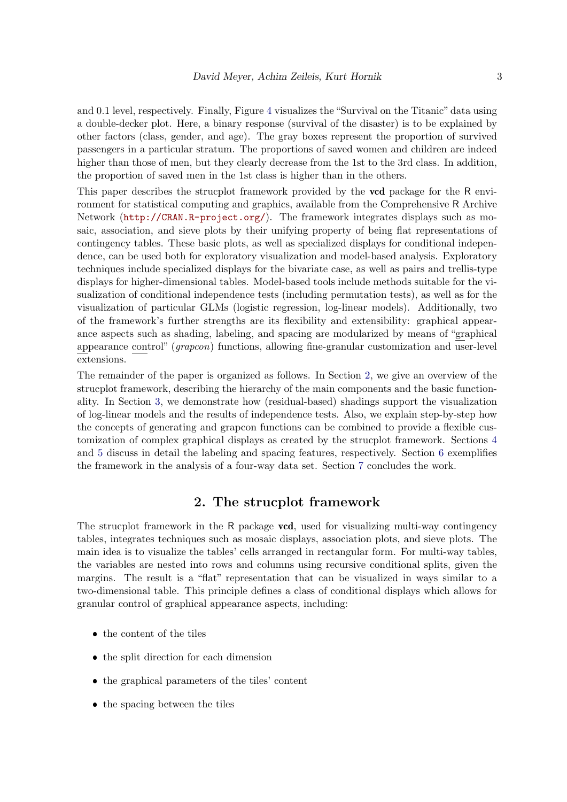and 0.1 level, respectively. Finally, Figure [4](#page-4-0) visualizes the "Survival on the Titanic" data using a double-decker plot. Here, a binary response (survival of the disaster) is to be explained by other factors (class, gender, and age). The gray boxes represent the proportion of survived passengers in a particular stratum. The proportions of saved women and children are indeed higher than those of men, but they clearly decrease from the 1st to the 3rd class. In addition, the proportion of saved men in the 1st class is higher than in the others.

This paper describes the strucplot framework provided by the **vcd** package for the R environment for statistical computing and graphics, available from the Comprehensive R Archive Network (<http://CRAN.R-project.org/>). The framework integrates displays such as mosaic, association, and sieve plots by their unifying property of being flat representations of contingency tables. These basic plots, as well as specialized displays for conditional independence, can be used both for exploratory visualization and model-based analysis. Exploratory techniques include specialized displays for the bivariate case, as well as pairs and trellis-type displays for higher-dimensional tables. Model-based tools include methods suitable for the visualization of conditional independence tests (including permutation tests), as well as for the visualization of particular GLMs (logistic regression, log-linear models). Additionally, two of the framework's further strengths are its flexibility and extensibility: graphical appearance aspects such as shading, labeling, and spacing are modularized by means of "graphical appearance control" (grapcon) functions, allowing fine-granular customization and user-level extensions.

The remainder of the paper is organized as follows. In Section [2,](#page-2-0) we give an overview of the strucplot framework, describing the hierarchy of the main components and the basic functionality. In Section [3,](#page-20-0) we demonstrate how (residual-based) shadings support the visualization of log-linear models and the results of independence tests. Also, we explain step-by-step how the concepts of generating and grapcon functions can be combined to provide a flexible customization of complex graphical displays as created by the strucplot framework. Sections [4](#page-31-0) and [5](#page-35-0) discuss in detail the labeling and spacing features, respectively. Section [6](#page-39-0) exemplifies the framework in the analysis of a four-way data set. Section [7](#page-43-4) concludes the work.

## 2. The strucplot framework

<span id="page-2-0"></span>The strucplot framework in the R package **vcd**, used for visualizing multi-way contingency tables, integrates techniques such as mosaic displays, association plots, and sieve plots. The main idea is to visualize the tables' cells arranged in rectangular form. For multi-way tables, the variables are nested into rows and columns using recursive conditional splits, given the margins. The result is a "flat" representation that can be visualized in ways similar to a two-dimensional table. This principle defines a class of conditional displays which allows for granular control of graphical appearance aspects, including:

- $\bullet\,$  the content of the tiles
- the split direction for each dimension
- the graphical parameters of the tiles' content
- the spacing between the tiles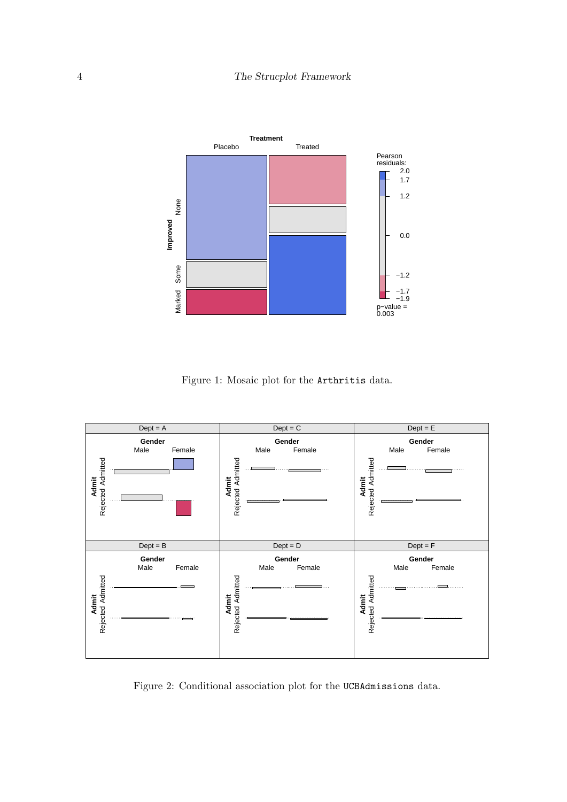

<span id="page-3-0"></span>Figure 1: Mosaic plot for the Arthritis data.



<span id="page-3-1"></span>Figure 2: Conditional association plot for the UCBAdmissions data.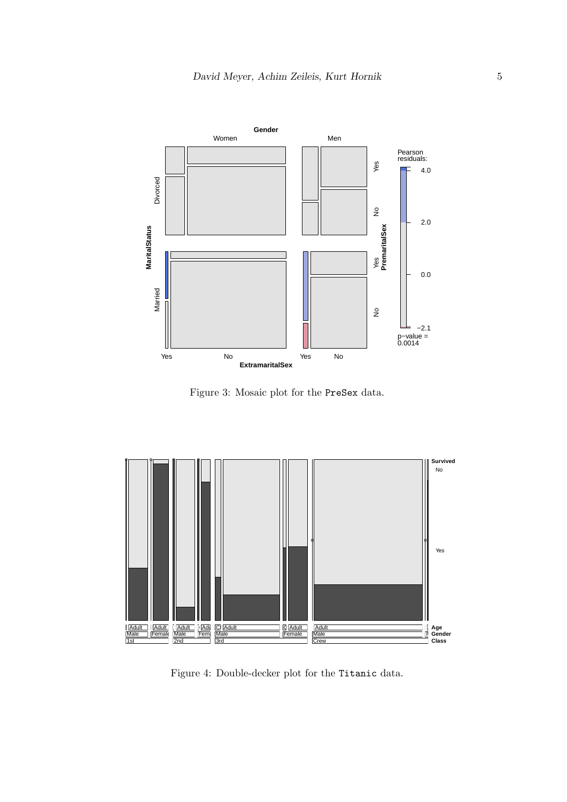

<span id="page-4-1"></span>Figure 3: Mosaic plot for the PreSex data.



<span id="page-4-0"></span>Figure 4: Double-decker plot for the Titanic data.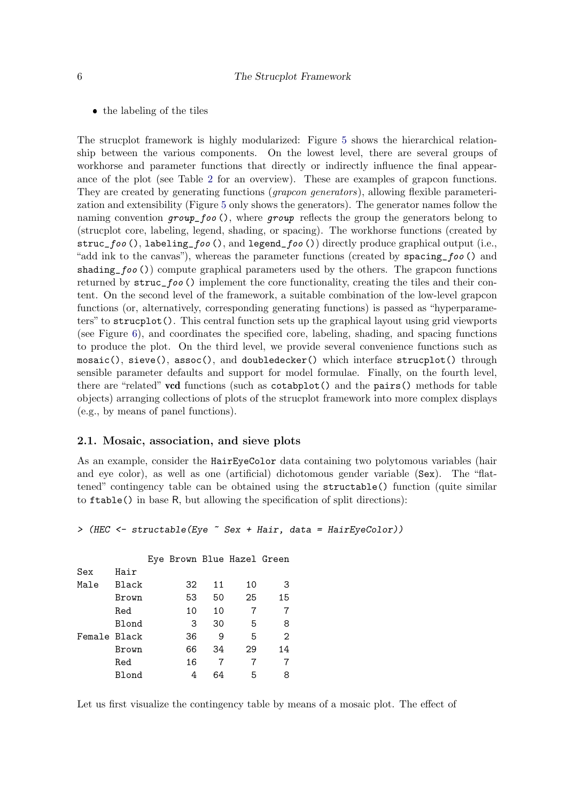• the labeling of the tiles

The strucplot framework is highly modularized: Figure [5](#page-7-0) shows the hierarchical relationship between the various components. On the lowest level, there are several groups of workhorse and parameter functions that directly or indirectly influence the final appearance of the plot (see Table [2](#page-6-0) for an overview). These are examples of grapcon functions. They are created by generating functions (*grapcon generators*), allowing flexible parameterization and extensibility (Figure [5](#page-7-0) only shows the generators). The generator names follow the naming convention  $group\_foo$ , where group reflects the group the generators belong to (strucplot core, labeling, legend, shading, or spacing). The workhorse functions (created by struc\_foo (), labeling\_foo (), and legend\_foo ()) directly produce graphical output (i.e., "add ink to the canvas"), whereas the parameter functions (created by spacing\_foo () and shading  $foo()$  compute graphical parameters used by the others. The grapcon functions returned by struc\_foo () implement the core functionality, creating the tiles and their content. On the second level of the framework, a suitable combination of the low-level grapcon functions (or, alternatively, corresponding generating functions) is passed as "hyperparameters" to strucplot(). This central function sets up the graphical layout using grid viewports (see Figure [6\)](#page-8-0), and coordinates the specified core, labeling, shading, and spacing functions to produce the plot. On the third level, we provide several convenience functions such as mosaic(), sieve(), assoc(), and doubledecker() which interface strucplot() through sensible parameter defaults and support for model formulae. Finally, on the fourth level, there are "related" vcd functions (such as cotabplot() and the pairs() methods for table objects) arranging collections of plots of the strucplot framework into more complex displays (e.g., by means of panel functions).

#### 2.1. Mosaic, association, and sieve plots

As an example, consider the HairEyeColor data containing two polytomous variables (hair and eye color), as well as one (artificial) dichotomous gender variable (Sex). The "flattened" contingency table can be obtained using the structable() function (quite similar to ftable() in base R, but allowing the specification of split directions):

```
> (HEC <- structable(Eye ~ Sex + Hair, data = HairEyeColor))
```

|              |              | Eye Brown Blue Hazel Green |    |    |                |
|--------------|--------------|----------------------------|----|----|----------------|
| Sex          | Hair         |                            |    |    |                |
| Male         | <b>Black</b> | 32                         | 11 | 10 | З              |
|              | Brown        | 53                         | 50 | 25 | 15             |
|              | Red          | 10                         | 10 | 7  | 7              |
|              | <b>Blond</b> | 3                          | 30 | 5  | 8              |
| Female Black |              | 36                         | 9  | 5  | $\overline{2}$ |
|              | Brown        | 66                         | 34 | 29 | 14             |
|              | Red          | 16                         |    |    |                |
|              | Blond        | 4                          | 64 | 5  | 8              |

Let us first visualize the contingency table by means of a mosaic plot. The effect of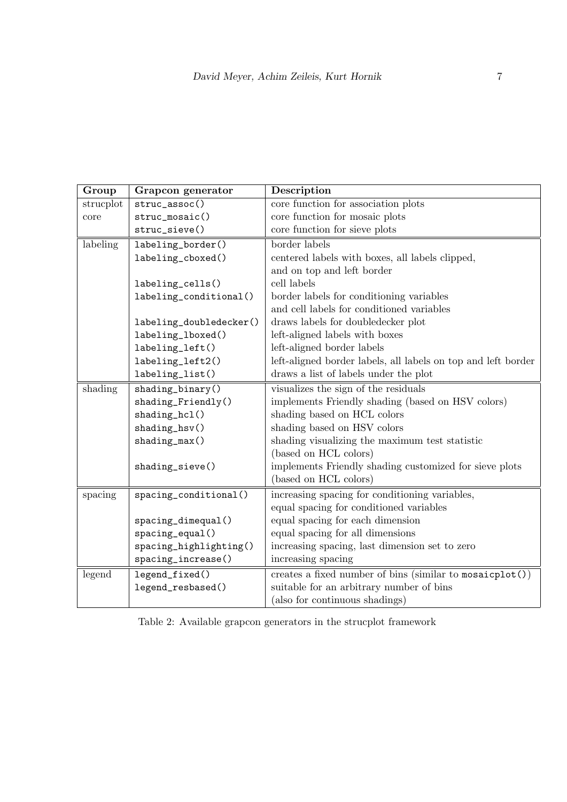| Group     | Grapcon generator       | Description                                                   |
|-----------|-------------------------|---------------------------------------------------------------|
| strucplot | struc_assoc()           | core function for association plots                           |
| core      | struc_mosaic()          | core function for mosaic plots                                |
|           | struc_sieve()           | core function for sieve plots                                 |
| labeling  | labeling_border()       | border labels                                                 |
|           | labeling_cboxed()       | centered labels with boxes, all labels clipped,               |
|           |                         | and on top and left border                                    |
|           | labeling_cells()        | cell labels                                                   |
|           | labeling_conditional()  | border labels for conditioning variables                      |
|           |                         | and cell labels for conditioned variables                     |
|           | labeling_doubledecker() | draws labels for doubledecker plot                            |
|           | labeling_lboxed()       | left-aligned labels with boxes                                |
|           | labeling_left()         | left-aligned border labels                                    |
|           | labeling_left2()        | left-aligned border labels, all labels on top and left border |
|           | labeling_list()         | draws a list of labels under the plot                         |
| shading   | shading_binary()        | visualizes the sign of the residuals                          |
|           | shading_Friendly()      | implements Friendly shading (based on HSV colors)             |
|           | shading_hcl()           | shading based on HCL colors                                   |
|           | shading_hsv()           | shading based on HSV colors                                   |
|           | $shading_max()$         | shading visualizing the maximum test statistic                |
|           |                         | (based on HCL colors)                                         |
|           | shading_sieve()         | implements Friendly shading customized for sieve plots        |
|           |                         | (based on HCL colors)                                         |
| spacing   | spacing_conditional()   | increasing spacing for conditioning variables,                |
|           |                         | equal spacing for conditioned variables                       |
|           | spacing_dimequal()      | equal spacing for each dimension                              |
|           | spacing_equal()         | equal spacing for all dimensions                              |
|           | spacing_highlighting()  | increasing spacing, last dimension set to zero                |
|           | spacing_increase()      | increasing spacing                                            |
| legend    | legend_fixed()          | creates a fixed number of bins (similar to mosaicplot())      |
|           | legend_resbased()       | suitable for an arbitrary number of bins                      |
|           |                         | (also for continuous shadings)                                |

<span id="page-6-0"></span>Table 2: Available grapcon generators in the strucplot framework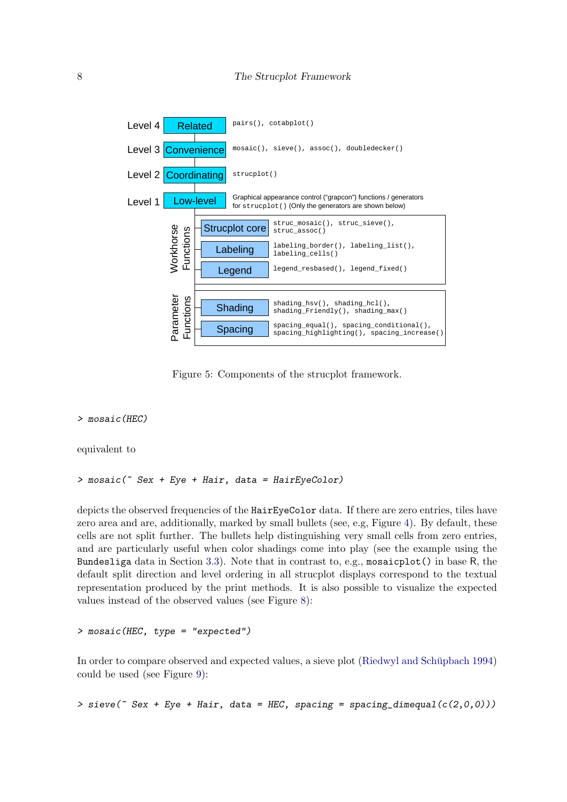

<span id="page-7-0"></span>Figure 5: Components of the strucplot framework.

#### > mosaic(HEC)

equivalent to

> mosaic(~ Sex + Eye + Hair, data = HairEyeColor)

depicts the observed frequencies of the HairEyeColor data. If there are zero entries, tiles have zero area and are, additionally, marked by small bullets (see, e.g, Figure [4\)](#page-4-0). By default, these cells are not split further. The bullets help distinguishing very small cells from zero entries, and are particularly useful when color shadings come into play (see the example using the Bundesliga data in Section [3.3\)](#page-25-0). Note that in contrast to, e.g., mosaicplot() in base R, the default split direction and level ordering in all strucplot displays correspond to the textual representation produced by the print methods. It is also possible to visualize the expected values instead of the observed values (see Figure [8\)](#page-9-0):

```
> mosaic(HEC, type = "expected")
```
In order to compare observed and expected values, a sieve plot (Riedwyl and Schüpbach [1994\)](#page-45-9) could be used (see Figure [9\)](#page-10-0):

> sieve( $\degree$  Sex + Eye + Hair, data = HEC, spacing = spacing\_dimequal( $c(2,0,0)$ ))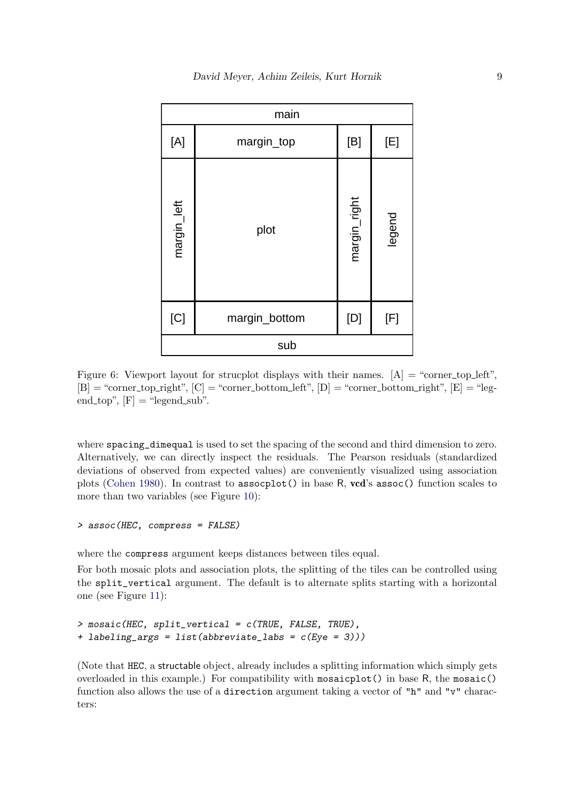|             | main          |              |        |
|-------------|---------------|--------------|--------|
| [A]         | margin_top    | [B]          | [E]    |
| margin_left | plot          | margin_right | legend |
| [C]         | margin_bottom | [D]          | [F]    |
|             | sub           |              |        |

<span id="page-8-0"></span>Figure 6: Viewport layout for strucplot displays with their names.  $[A] = \text{``corner-top-left''},$  $[B] = "corner\_top\_right", [C] = "corner\_bottom\_left", [D] = "corner\_bottom\_right", [E] = "leg$ end\_top",  $[F] = "legend\_sub".$ 

where spacing\_dimequal is used to set the spacing of the second and third dimension to zero. Alternatively, we can directly inspect the residuals. The Pearson residuals (standardized deviations of observed from expected values) are conveniently visualized using association plots [\(Cohen](#page-43-0) [1980\)](#page-43-0). In contrast to assocplot() in base R, vcd's assoc() function scales to more than two variables (see Figure [10\)](#page-11-0):

#### > assoc(HEC, compress = FALSE)

where the compress argument keeps distances between tiles equal.

For both mosaic plots and association plots, the splitting of the tiles can be controlled using the split\_vertical argument. The default is to alternate splits starting with a horizontal one (see Figure [11\)](#page-12-0):

```
> mosaic(HEC, split_vertical = c(TRUE, FALSE, TRUE),
+ labeling_args = list(abbreviate_labs = c(Eye = 3)))
```
(Note that HEC, a structable object, already includes a splitting information which simply gets overloaded in this example.) For compatibility with mosaicplot() in base R, the mosaic() function also allows the use of a direction argument taking a vector of "h" and "v" characters: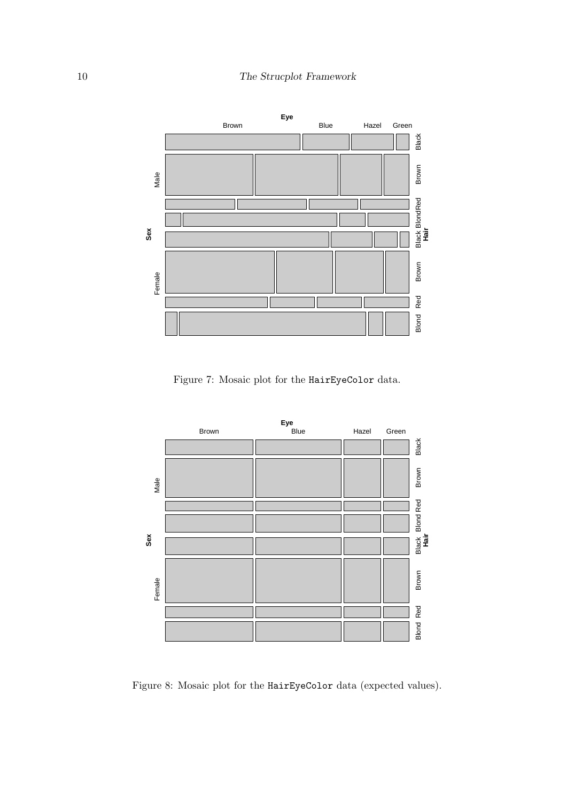

Figure 7: Mosaic plot for the HairEyeColor data.



<span id="page-9-0"></span>Figure 8: Mosaic plot for the HairEyeColor data (expected values).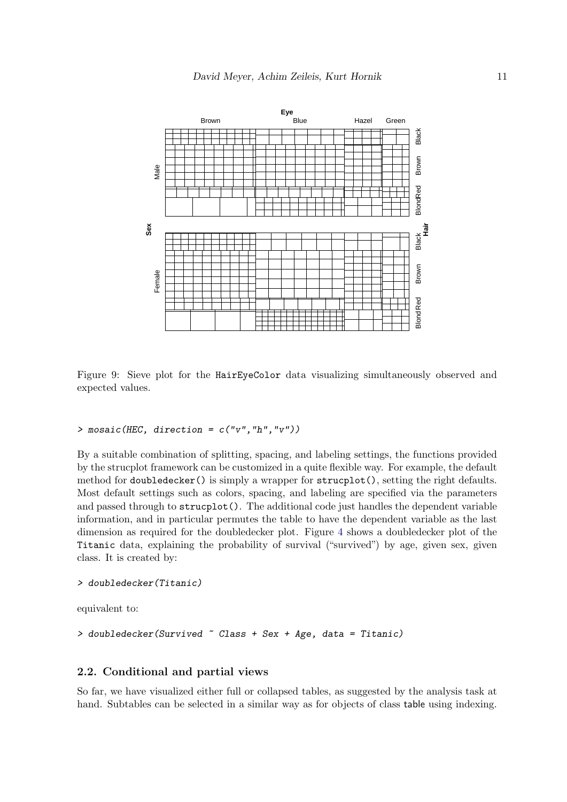

<span id="page-10-0"></span>Figure 9: Sieve plot for the HairEyeColor data visualizing simultaneously observed and expected values.

#### $>$  mosaic(HEC, direction = c("v","h","v"))

By a suitable combination of splitting, spacing, and labeling settings, the functions provided by the strucplot framework can be customized in a quite flexible way. For example, the default method for doubledecker() is simply a wrapper for strucplot(), setting the right defaults. Most default settings such as colors, spacing, and labeling are specified via the parameters and passed through to strucplot(). The additional code just handles the dependent variable information, and in particular permutes the table to have the dependent variable as the last dimension as required for the doubledecker plot. Figure [4](#page-4-0) shows a doubledecker plot of the Titanic data, explaining the probability of survival ("survived") by age, given sex, given class. It is created by:

```
> doubledecker(Titanic)
```
equivalent to:

> doubledecker(Survived ~ Class + Sex + Age, data = Titanic)

### 2.2. Conditional and partial views

So far, we have visualized either full or collapsed tables, as suggested by the analysis task at hand. Subtables can be selected in a similar way as for objects of class table using indexing.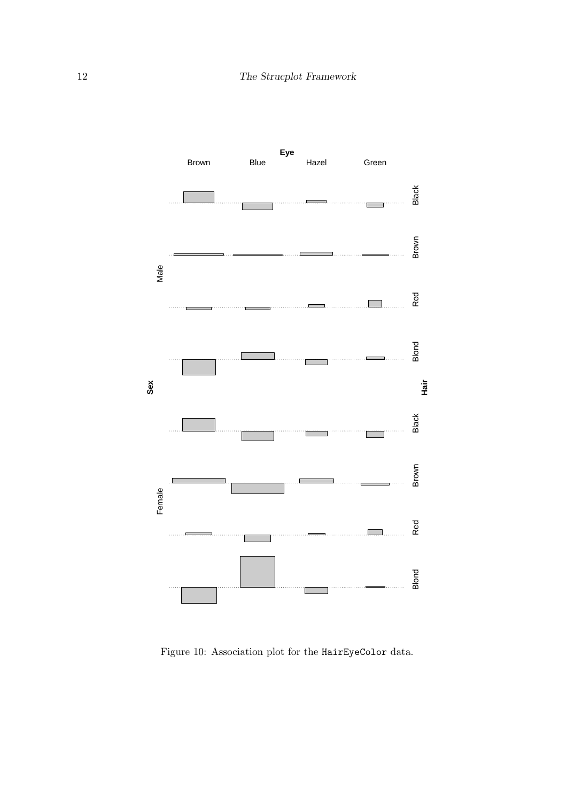

<span id="page-11-0"></span>Figure 10: Association plot for the HairEyeColor data.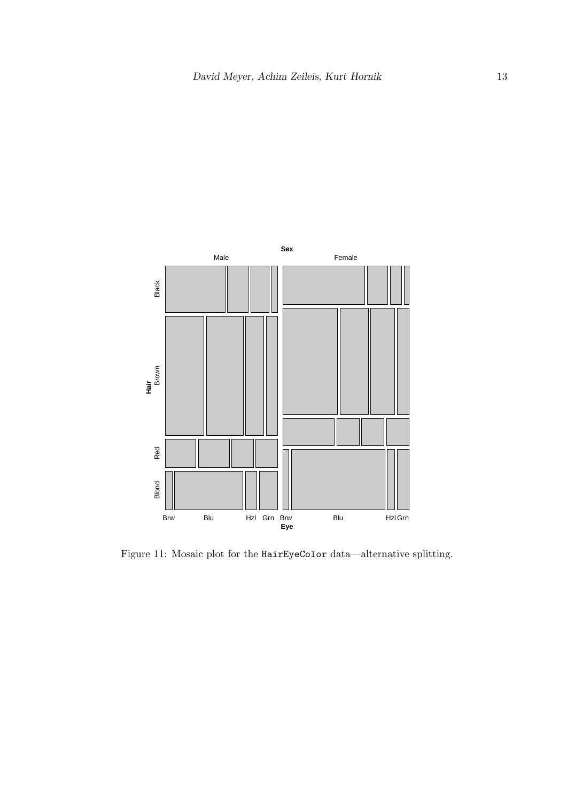

<span id="page-12-0"></span>Figure 11: Mosaic plot for the HairEyeColor data—alternative splitting.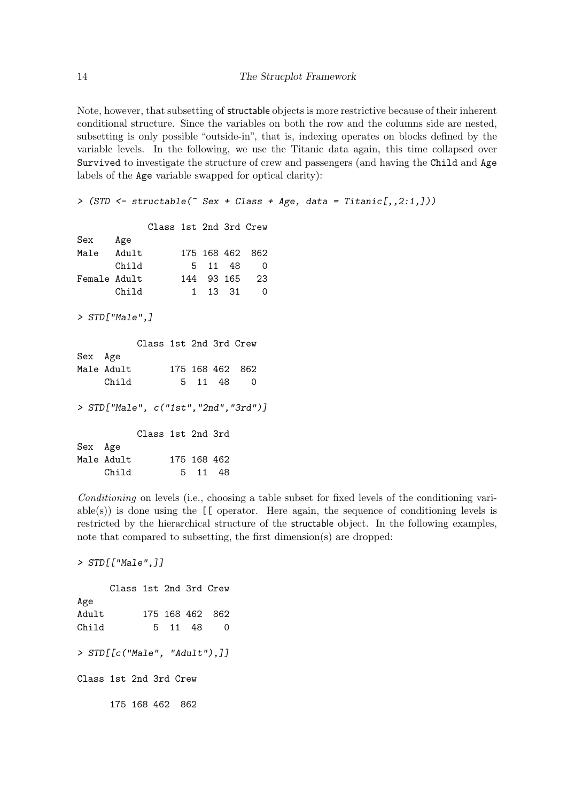Note, however, that subsetting of structable objects is more restrictive because of their inherent conditional structure. Since the variables on both the row and the columns side are nested, subsetting is only possible "outside-in", that is, indexing operates on blocks defined by the variable levels. In the following, we use the Titanic data again, this time collapsed over Survived to investigate the structure of crew and passengers (and having the Child and Age labels of the Age variable swapped for optical clarity):

> (STD <- structable(~ Sex + Class + Age, data = Titanic[,,2:1,]))

|                                   |       | Class 1st 2nd 3rd Crew        |  |             |  |          |
|-----------------------------------|-------|-------------------------------|--|-------------|--|----------|
| Sex                               | Age   |                               |  |             |  |          |
| Male Adult                        |       |                               |  | 175 168 462 |  | 862      |
|                                   | Child |                               |  | 5 11 48     |  | $\Omega$ |
| Female Adult                      |       |                               |  | 144 93 165  |  | 23       |
|                                   | Child |                               |  | 1 13 31     |  | 0        |
| $>$ STD $\lceil$ "Male". $\rceil$ |       |                               |  |             |  |          |
|                                   |       | $C1_{222}$ $1_{21}$ $C2_{22}$ |  |             |  |          |

|         |            | GTASS IST ZNO 3rd Grew                  |         |                 |  |
|---------|------------|-----------------------------------------|---------|-----------------|--|
| Sex Age |            |                                         |         |                 |  |
|         | Male Adult |                                         |         | 175 168 462 862 |  |
|         | Child      |                                         | 5 11 48 | - 0             |  |
|         |            |                                         |         |                 |  |
|         |            | > $STD["Male", c("1st", "2nd", "3rd")]$ |         |                 |  |

Class 1st 2nd 3rd  $\Delta$ 

| рех нде |            |             |         |  |
|---------|------------|-------------|---------|--|
|         | Male Adult | 175 168 462 |         |  |
|         | Child      |             | 5 11 48 |  |

Conditioning on levels (i.e., choosing a table subset for fixed levels of the conditioning variable(s)) is done using the [[ operator. Here again, the sequence of conditioning levels is restricted by the hierarchical structure of the structable object. In the following examples, note that compared to subsetting, the first dimension(s) are dropped:

> STD[["Male",]]

Class 1st 2nd 3rd Crew Age Adult 175 168 462 862 Child 5 11 48 0 > STD[[c("Male", "Adult"),]] Class 1st 2nd 3rd Crew 175 168 462 862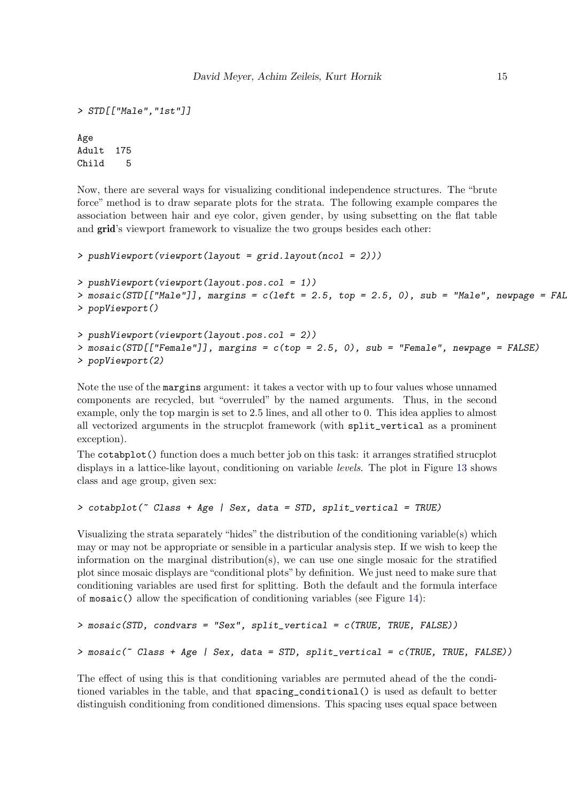```
> STD[["Male","1st"]]
Age
Adult 175
Child 5
```
Now, there are several ways for visualizing conditional independence structures. The "brute force" method is to draw separate plots for the strata. The following example compares the association between hair and eye color, given gender, by using subsetting on the flat table and grid's viewport framework to visualize the two groups besides each other:

```
> pushViewport(viewport(layout = grid.layout(ncol = 2)))
> pushViewport(viewport(layout.pos.col = 1))
> mosaic(STD[["Male"]], margins = c(left = 2.5, top = 2.5, 0), sub = "Male", newpage = FAL
> popViewport()
> pushViewport(viewport(layout.pos.col = 2))
```

```
> mosaic(STD[["Female"]], margins = c(top = 2.5, 0), sub = "Female", newpage = FALSE)
> popViewport(2)
```
Note the use of the margins argument: it takes a vector with up to four values whose unnamed components are recycled, but "overruled" by the named arguments. Thus, in the second example, only the top margin is set to 2.5 lines, and all other to 0. This idea applies to almost all vectorized arguments in the strucplot framework (with split\_vertical as a prominent exception).

The cotabplot() function does a much better job on this task: it arranges stratified strucplot displays in a lattice-like layout, conditioning on variable *levels*. The plot in Figure [13](#page-15-0) shows class and age group, given sex:

```
> cotabplot(~ Class + Age | Sex, data = STD, split_vertical = TRUE)
```
Visualizing the strata separately "hides" the distribution of the conditioning variable(s) which may or may not be appropriate or sensible in a particular analysis step. If we wish to keep the information on the marginal distribution(s), we can use one single mosaic for the stratified plot since mosaic displays are "conditional plots" by definition. We just need to make sure that conditioning variables are used first for splitting. Both the default and the formula interface of mosaic() allow the specification of conditioning variables (see Figure [14\)](#page-16-0):

```
> mosaic(STD, condvars = "Sex", split_vertical = c(TRUE, TRUE, FALSE))
> mosaic(~ Class + Age | Sex, data = STD, split_vertical = c(TRUE, TRUE, FALSE))
```
The effect of using this is that conditioning variables are permuted ahead of the the conditioned variables in the table, and that spacing\_conditional() is used as default to better distinguish conditioning from conditioned dimensions. This spacing uses equal space between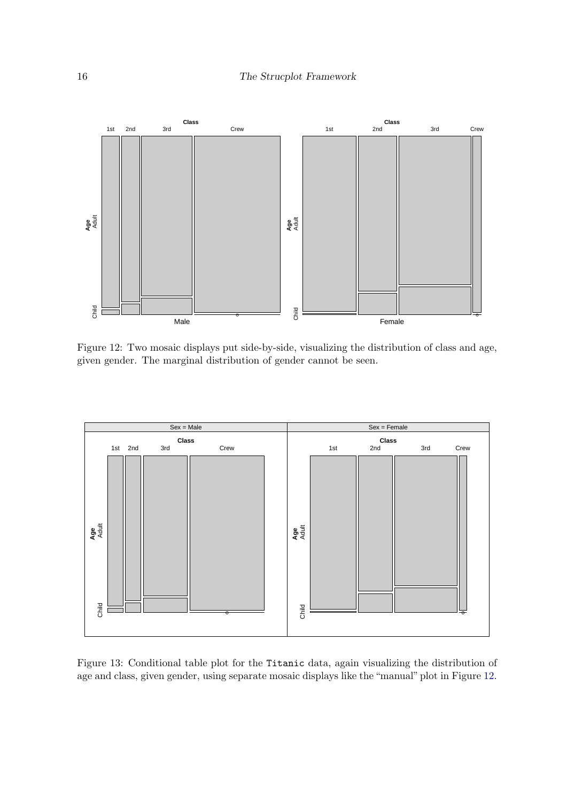

<span id="page-15-1"></span>Figure 12: Two mosaic displays put side-by-side, visualizing the distribution of class and age, given gender. The marginal distribution of gender cannot be seen.



<span id="page-15-0"></span>Figure 13: Conditional table plot for the Titanic data, again visualizing the distribution of age and class, given gender, using separate mosaic displays like the "manual" plot in Figure [12.](#page-15-1)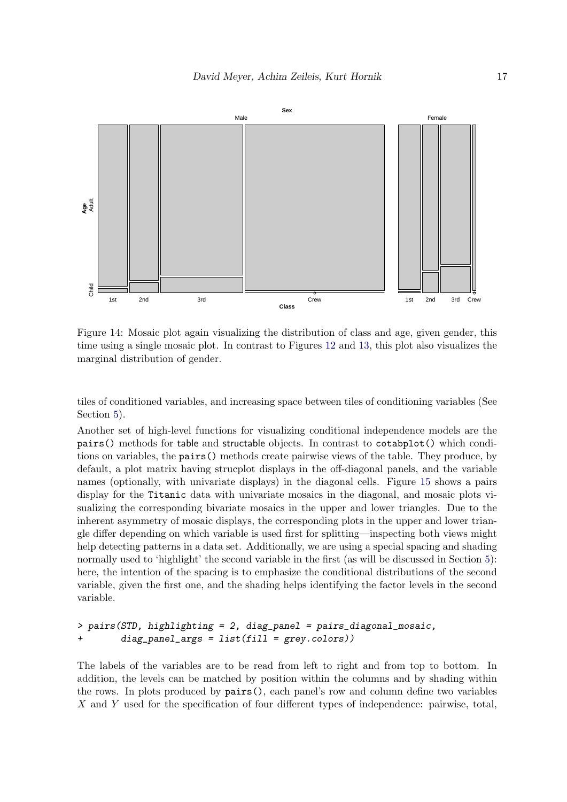

<span id="page-16-0"></span>Figure 14: Mosaic plot again visualizing the distribution of class and age, given gender, this time using a single mosaic plot. In contrast to Figures [12](#page-15-1) and [13,](#page-15-0) this plot also visualizes the marginal distribution of gender.

tiles of conditioned variables, and increasing space between tiles of conditioning variables (See Section [5\)](#page-35-0).

Another set of high-level functions for visualizing conditional independence models are the pairs() methods for table and structable objects. In contrast to cotabplot() which conditions on variables, the pairs() methods create pairwise views of the table. They produce, by default, a plot matrix having strucplot displays in the off-diagonal panels, and the variable names (optionally, with univariate displays) in the diagonal cells. Figure [15](#page-17-0) shows a pairs display for the Titanic data with univariate mosaics in the diagonal, and mosaic plots visualizing the corresponding bivariate mosaics in the upper and lower triangles. Due to the inherent asymmetry of mosaic displays, the corresponding plots in the upper and lower triangle differ depending on which variable is used first for splitting—inspecting both views might help detecting patterns in a data set. Additionally, we are using a special spacing and shading normally used to 'highlight' the second variable in the first (as will be discussed in Section [5\)](#page-35-0): here, the intention of the spacing is to emphasize the conditional distributions of the second variable, given the first one, and the shading helps identifying the factor levels in the second variable.

```
> pairs(STD, highlighting = 2, diag_panel = pairs_diagonal_mosaic,
        diag\_panel\_args = list(fill = grey-colors)
```
The labels of the variables are to be read from left to right and from top to bottom. In addition, the levels can be matched by position within the columns and by shading within the rows. In plots produced by pairs(), each panel's row and column define two variables X and Y used for the specification of four different types of independence: pairwise, total,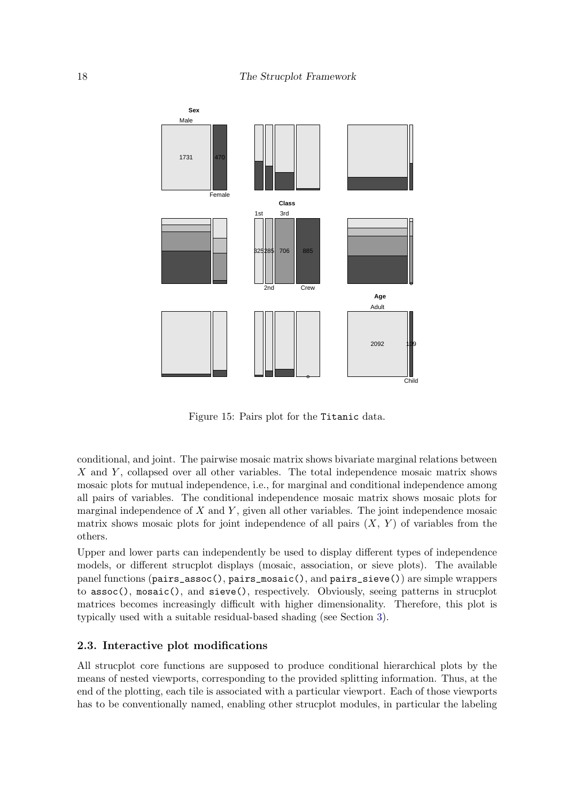

<span id="page-17-0"></span>Figure 15: Pairs plot for the Titanic data.

conditional, and joint. The pairwise mosaic matrix shows bivariate marginal relations between X and Y, collapsed over all other variables. The total independence mosaic matrix shows mosaic plots for mutual independence, i.e., for marginal and conditional independence among all pairs of variables. The conditional independence mosaic matrix shows mosaic plots for marginal independence of  $X$  and  $Y$ , given all other variables. The joint independence mosaic matrix shows mosaic plots for joint independence of all pairs  $(X, Y)$  of variables from the others.

Upper and lower parts can independently be used to display different types of independence models, or different strucplot displays (mosaic, association, or sieve plots). The available panel functions (pairs\_assoc(), pairs\_mosaic(), and pairs\_sieve()) are simple wrappers to assoc(), mosaic(), and sieve(), respectively. Obviously, seeing patterns in strucplot matrices becomes increasingly difficult with higher dimensionality. Therefore, this plot is typically used with a suitable residual-based shading (see Section [3\)](#page-20-0).

#### 2.3. Interactive plot modifications

All strucplot core functions are supposed to produce conditional hierarchical plots by the means of nested viewports, corresponding to the provided splitting information. Thus, at the end of the plotting, each tile is associated with a particular viewport. Each of those viewports has to be conventionally named, enabling other strucplot modules, in particular the labeling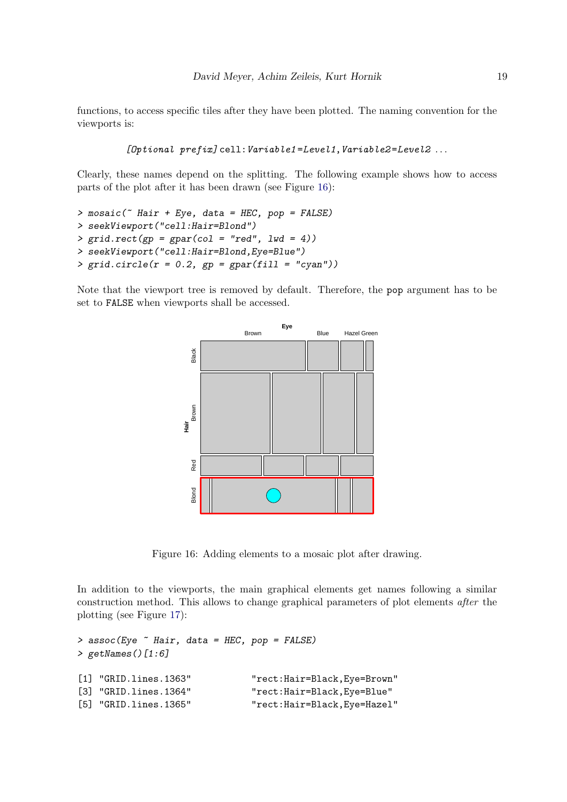functions, to access specific tiles after they have been plotted. The naming convention for the viewports is:

```
[Optional\ prefix]cell: Variable1=Level1, Variable2=Level2 ...
```
Clearly, these names depend on the splitting. The following example shows how to access parts of the plot after it has been drawn (see Figure [16\)](#page-18-0):

```
> mosaic(* Hair + Eye, data = HEC, pop = FALSE)
> seekViewport("cell:Hair=Blond")
> grid. rect(pp = gpar(col = "red", lwd = 4))> seekViewport("cell:Hair=Blond,Eye=Blue")
> grid.circle(r = 0.2, gp = gapar(fill = "cyan"))
```
Note that the viewport tree is removed by default. Therefore, the pop argument has to be set to FALSE when viewports shall be accessed.



<span id="page-18-0"></span>Figure 16: Adding elements to a mosaic plot after drawing.

In addition to the viewports, the main graphical elements get names following a similar construction method. This allows to change graphical parameters of plot elements after the plotting (see Figure [17\)](#page-19-0):

```
> assoc(Eye \tilde{ } Hair, data = HEC, pop = FALSE)
> getNames()[1:6]
[1] "GRID.lines.1363" "rect:Hair=Black,Eye=Brown"
[3] "GRID.lines.1364" "rect:Hair=Black,Eye=Blue"
[5] "GRID.lines.1365" "rect:Hair=Black,Eye=Hazel"
```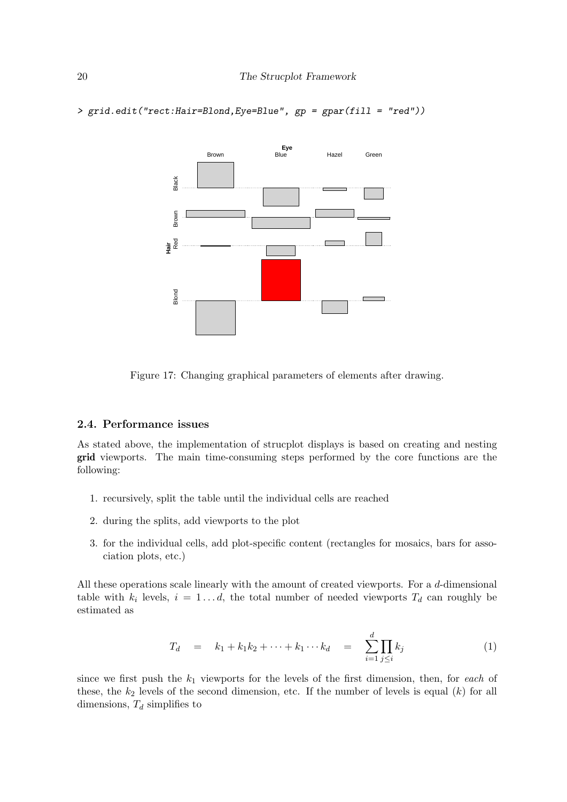> grid.edit("rect:Hair=Blond,Eye=Blue", gp = gpar(fill = "red"))

![](_page_19_Figure_2.jpeg)

<span id="page-19-0"></span>Figure 17: Changing graphical parameters of elements after drawing.

#### 2.4. Performance issues

As stated above, the implementation of strucplot displays is based on creating and nesting grid viewports. The main time-consuming steps performed by the core functions are the following:

- 1. recursively, split the table until the individual cells are reached
- 2. during the splits, add viewports to the plot
- 3. for the individual cells, add plot-specific content (rectangles for mosaics, bars for association plots, etc.)

All these operations scale linearly with the amount of created viewports. For a d-dimensional table with  $k_i$  levels,  $i = 1...d$ , the total number of needed viewports  $T_d$  can roughly be estimated as

$$
T_d = k_1 + k_1 k_2 + \dots + k_1 \dots k_d = \sum_{i=1}^d \prod_{j \leq i} k_j \tag{1}
$$

since we first push the  $k_1$  viewports for the levels of the first dimension, then, for each of these, the  $k_2$  levels of the second dimension, etc. If the number of levels is equal  $(k)$  for all dimensions,  $T_d$  simplifies to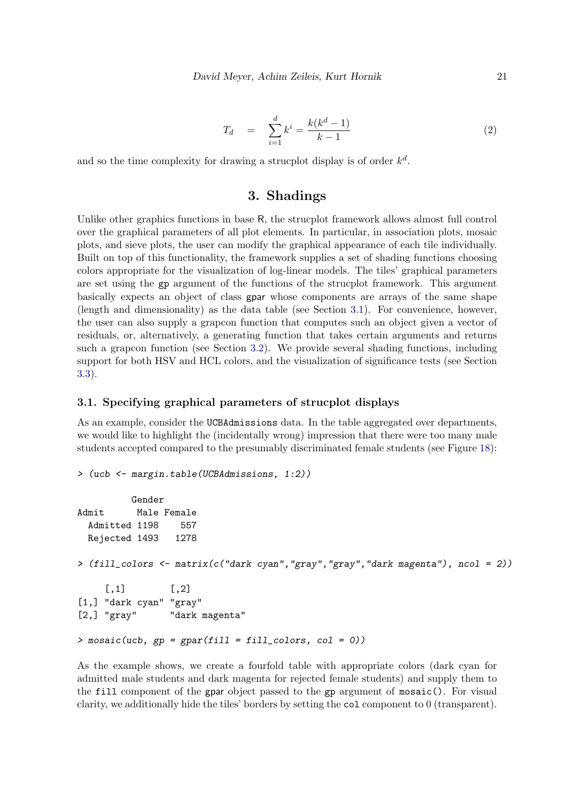$$
T_d = \sum_{i=1}^d k^i = \frac{k(k^d - 1)}{k - 1} \tag{2}
$$

and so the time complexity for drawing a strucplot display is of order  $k^d$ .

## 3. Shadings

<span id="page-20-0"></span>Unlike other graphics functions in base R, the strucplot framework allows almost full control over the graphical parameters of all plot elements. In particular, in association plots, mosaic plots, and sieve plots, the user can modify the graphical appearance of each tile individually. Built on top of this functionality, the framework supplies a set of shading functions choosing colors appropriate for the visualization of log-linear models. The tiles' graphical parameters are set using the gp argument of the functions of the strucplot framework. This argument basically expects an object of class gpar whose components are arrays of the same shape (length and dimensionality) as the data table (see Section [3.1\)](#page-20-1). For convenience, however, the user can also supply a grapcon function that computes such an object given a vector of residuals, or, alternatively, a generating function that takes certain arguments and returns such a grapcon function (see Section [3.2\)](#page-21-0). We provide several shading functions, including support for both HSV and HCL colors, and the visualization of significance tests (see Section [3.3\)](#page-25-0).

#### <span id="page-20-1"></span>3.1. Specifying graphical parameters of strucplot displays

As an example, consider the UCBAdmissions data. In the table aggregated over departments, we would like to highlight the (incidentally wrong) impression that there were too many male students accepted compared to the presumably discriminated female students (see Figure [18\)](#page-21-1):

```
> (ucb <- margin.table(UCBAdmissions, 1:2))
         Gender
Admit Male Female
 Admitted 1198 557
 Rejected 1493 1278
> (fill_colors <- matrix(c("dark cyan","gray","gray","dark magenta"), ncol = 2))
    [,1] [,2][1,] "dark cyan" "gray"
[2,] "gray" "dark magenta"
> mosaic(ucb, gp = gpar(fill = fill_colors, col = 0))
```
As the example shows, we create a fourfold table with appropriate colors (dark cyan for admitted male students and dark magenta for rejected female students) and supply them to the fill component of the gpar object passed to the gp argument of mosaic(). For visual clarity, we additionally hide the tiles' borders by setting the col component to 0 (transparent).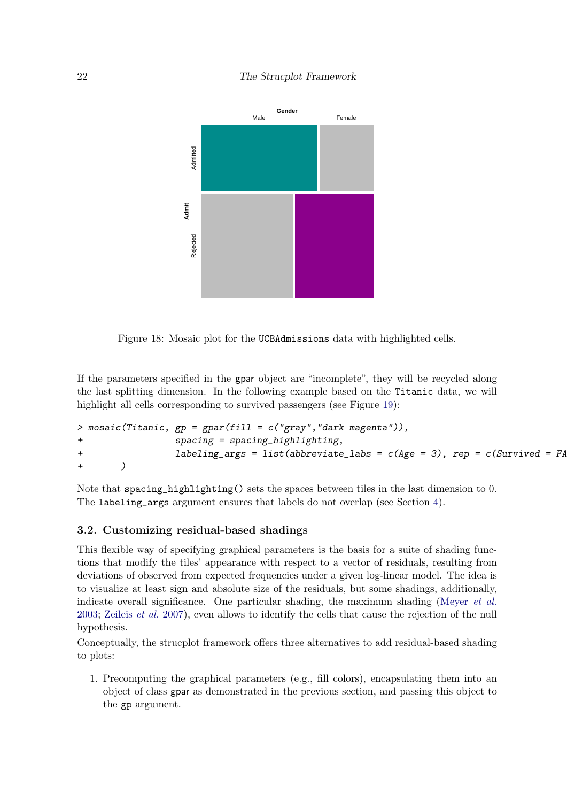### 22 The Strucplot Framework

![](_page_21_Figure_1.jpeg)

<span id="page-21-1"></span>Figure 18: Mosaic plot for the UCBAdmissions data with highlighted cells.

If the parameters specified in the gpar object are "incomplete", they will be recycled along the last splitting dimension. In the following example based on the Titanic data, we will highlight all cells corresponding to survived passengers (see Figure [19\)](#page-22-0):

```
> mosaic(Titanic, gp = gpar(fill = c("gray", "dark magenta")),
+ spacing = spacing_highlighting,
+ labeling_args = list(abbreviate_labs = c(Age = 3), rep = c(Survived = FA
+ )
```
Note that spacing\_highlighting() sets the spaces between tiles in the last dimension to 0. The labeling\_args argument ensures that labels do not overlap (see Section [4\)](#page-31-0).

#### <span id="page-21-0"></span>3.2. Customizing residual-based shadings

This flexible way of specifying graphical parameters is the basis for a suite of shading functions that modify the tiles' appearance with respect to a vector of residuals, resulting from deviations of observed from expected frequencies under a given log-linear model. The idea is to visualize at least sign and absolute size of the residuals, but some shadings, additionally, indicate overall significance. One particular shading, the maximum shading [\(Meyer](#page-45-4) *et al.*) [2003;](#page-45-4) [Zeileis](#page-46-0) et al. [2007\)](#page-46-0), even allows to identify the cells that cause the rejection of the null hypothesis.

Conceptually, the strucplot framework offers three alternatives to add residual-based shading to plots:

1. Precomputing the graphical parameters (e.g., fill colors), encapsulating them into an object of class gpar as demonstrated in the previous section, and passing this object to the gp argument.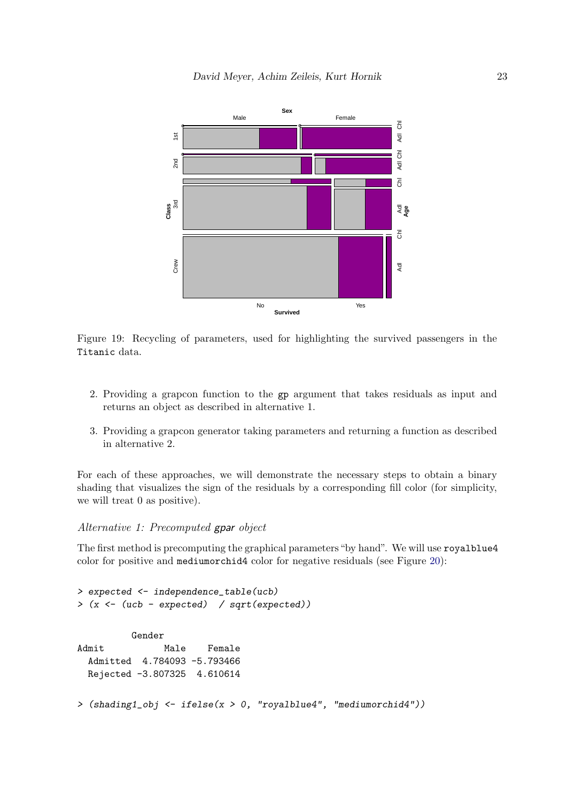![](_page_22_Figure_1.jpeg)

<span id="page-22-0"></span>Figure 19: Recycling of parameters, used for highlighting the survived passengers in the Titanic data.

- 2. Providing a grapcon function to the gp argument that takes residuals as input and returns an object as described in alternative 1.
- 3. Providing a grapcon generator taking parameters and returning a function as described in alternative 2.

For each of these approaches, we will demonstrate the necessary steps to obtain a binary shading that visualizes the sign of the residuals by a corresponding fill color (for simplicity, we will treat 0 as positive).

## Alternative 1: Precomputed gpar object

The first method is precomputing the graphical parameters"by hand". We will use royalblue4 color for positive and mediumorchid4 color for negative residuals (see Figure [20\)](#page-23-0):

```
> expected <- independence_table(ucb)
> (x <- (ucb - expected) / sqrt(expected))
         Gender
Admit Male Female
 Admitted 4.784093 -5.793466
 Rejected -3.807325 4.610614
> (shading1_obj <- ifelse(x > 0, "royalblue4", "mediumorchid4"))
```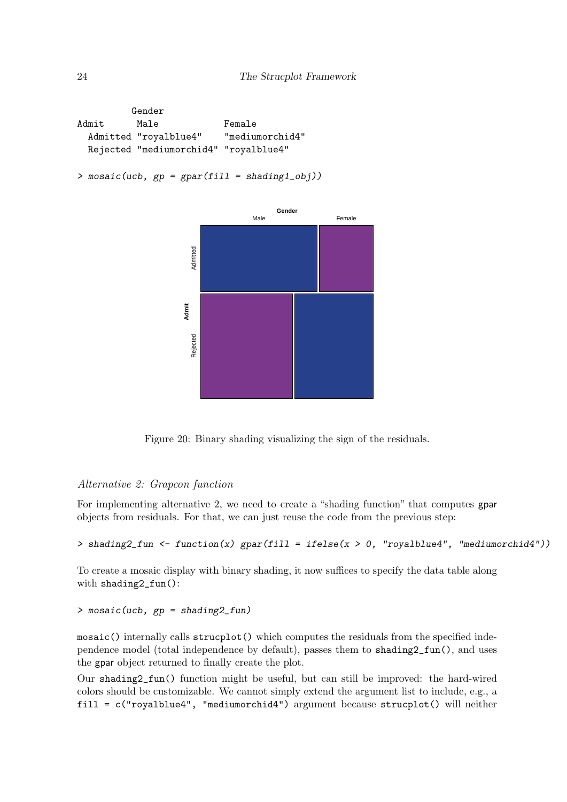Gender Admit Male Female Admitted "royalblue4" "mediumorchid4" Rejected "mediumorchid4" "royalblue4"

```
> mosaic(ucb, gp = gpar(fill = shading1_obj))
```
![](_page_23_Figure_3.jpeg)

<span id="page-23-0"></span>Figure 20: Binary shading visualizing the sign of the residuals.

#### Alternative 2: Grapcon function

For implementing alternative 2, we need to create a "shading function" that computes gpar objects from residuals. For that, we can just reuse the code from the previous step:

```
> shading2_fun <- function(x) gpar(fill = ifelse(x > 0, "royalblue4", "mediumorchid4"))
```
To create a mosaic display with binary shading, it now suffices to specify the data table along with shading2\_fun():

```
> mosaic(ucb, gp = shading2_fun)
```
mosaic() internally calls strucplot() which computes the residuals from the specified independence model (total independence by default), passes them to shading2\_fun(), and uses the gpar object returned to finally create the plot.

Our shading2\_fun() function might be useful, but can still be improved: the hard-wired colors should be customizable. We cannot simply extend the argument list to include, e.g., a fill = c("royalblue4", "mediumorchid4") argument because strucplot() will neither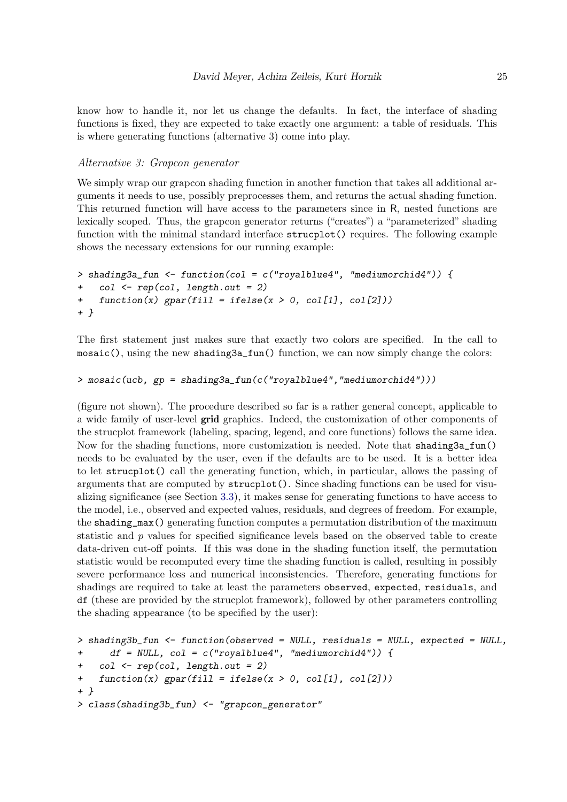know how to handle it, nor let us change the defaults. In fact, the interface of shading functions is fixed, they are expected to take exactly one argument: a table of residuals. This is where generating functions (alternative 3) come into play.

#### Alternative 3: Grapcon generator

We simply wrap our grapcon shading function in another function that takes all additional arguments it needs to use, possibly preprocesses them, and returns the actual shading function. This returned function will have access to the parameters since in R, nested functions are lexically scoped. Thus, the grapcon generator returns ("creates") a "parameterized" shading function with the minimal standard interface strucplot() requires. The following example shows the necessary extensions for our running example:

```
> shading3a_fun \le function(col = c("royalblue4", "mediumorchid4")) {
    col \leftarrow rep(col, length.out = 2)+ function(x) gpar(fill = ifelse(x > 0, col[1], col[2]))+ }
```
The first statement just makes sure that exactly two colors are specified. In the call to mosaic(), using the new shading3a\_fun() function, we can now simply change the colors:

```
> mosaic(ucb, gp = shading3a_fun(c("royalblue4","mediumorchid4")))
```
(figure not shown). The procedure described so far is a rather general concept, applicable to a wide family of user-level grid graphics. Indeed, the customization of other components of the strucplot framework (labeling, spacing, legend, and core functions) follows the same idea. Now for the shading functions, more customization is needed. Note that shading3a\_fun() needs to be evaluated by the user, even if the defaults are to be used. It is a better idea to let strucplot() call the generating function, which, in particular, allows the passing of arguments that are computed by strucplot(). Since shading functions can be used for visualizing significance (see Section [3.3\)](#page-25-0), it makes sense for generating functions to have access to the model, i.e., observed and expected values, residuals, and degrees of freedom. For example, the shading\_max() generating function computes a permutation distribution of the maximum statistic and  $p$  values for specified significance levels based on the observed table to create data-driven cut-off points. If this was done in the shading function itself, the permutation statistic would be recomputed every time the shading function is called, resulting in possibly severe performance loss and numerical inconsistencies. Therefore, generating functions for shadings are required to take at least the parameters observed, expected, residuals, and df (these are provided by the strucplot framework), followed by other parameters controlling the shading appearance (to be specified by the user):

```
> shading3b_fun <- function(observed = NULL, residuals = NULL, expected = NULL,
+ df = NULL, col = c("royalblue4", "mediumorchid4")) {
+ col <- rep(col, length.out = 2)
+ function(x) gpar(fill = ifelse(x > 0, col[1], col[2]))+ }
> class(shading3b_fun) <- "grapcon_generator"
```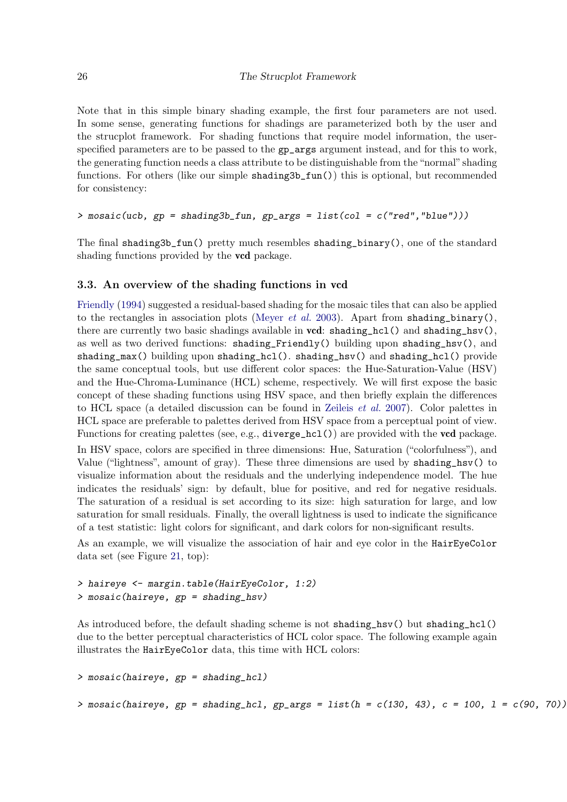Note that in this simple binary shading example, the first four parameters are not used. In some sense, generating functions for shadings are parameterized both by the user and the strucplot framework. For shading functions that require model information, the userspecified parameters are to be passed to the  $gp\text{-args}$  argument instead, and for this to work, the generating function needs a class attribute to be distinguishable from the "normal" shading functions. For others (like our simple shading3b\_fun()) this is optional, but recommended for consistency:

#### > mosaic(ucb, gp = shading3b\_fun, gp\_args = list(col = c("red","blue")))

The final shading3b\_fun() pretty much resembles shading\_binary(), one of the standard shading functions provided by the **vcd** package.

#### <span id="page-25-0"></span>3.3. An overview of the shading functions in vcd

[Friendly](#page-43-1) [\(1994\)](#page-43-1) suggested a residual-based shading for the mosaic tiles that can also be applied to the rectangles in association plots [\(Meyer](#page-45-4) *et al.* [2003\)](#page-45-4). Apart from shading\_binary(), there are currently two basic shadings available in  $\text{vcd}$ : shading\_hcl() and shading\_hsv(), as well as two derived functions: shading\_Friendly() building upon shading\_hsv(), and shading\_max() building upon shading\_hcl(). shading\_hsv() and shading\_hcl() provide the same conceptual tools, but use different color spaces: the Hue-Saturation-Value (HSV) and the Hue-Chroma-Luminance (HCL) scheme, respectively. We will first expose the basic concept of these shading functions using HSV space, and then briefly explain the differences to HCL space (a detailed discussion can be found in [Zeileis](#page-46-0) et al. [2007\)](#page-46-0). Color palettes in HCL space are preferable to palettes derived from HSV space from a perceptual point of view. Functions for creating palettes (see, e.g.,  $diverge_hcl()$ ) are provided with the **vcd** package.

In HSV space, colors are specified in three dimensions: Hue, Saturation ("colorfulness"), and Value ("lightness", amount of gray). These three dimensions are used by shading\_hsv() to visualize information about the residuals and the underlying independence model. The hue indicates the residuals' sign: by default, blue for positive, and red for negative residuals. The saturation of a residual is set according to its size: high saturation for large, and low saturation for small residuals. Finally, the overall lightness is used to indicate the significance of a test statistic: light colors for significant, and dark colors for non-significant results.

As an example, we will visualize the association of hair and eye color in the HairEyeColor data set (see Figure [21,](#page-26-0) top):

```
> haireye <- margin.table(HairEyeColor, 1:2)
> mosaic(haireye, gp = shading_hsv)
```
As introduced before, the default shading scheme is not shading\_hsv() but shading\_hcl() due to the better perceptual characteristics of HCL color space. The following example again illustrates the HairEyeColor data, this time with HCL colors:

```
> mosaic(haireye, gp = shading_hcl)
> mosaic(haireye, gp = shading_hcl, gp_args = list(h = c(130, 43), c = 100, l = c(90, 70))
```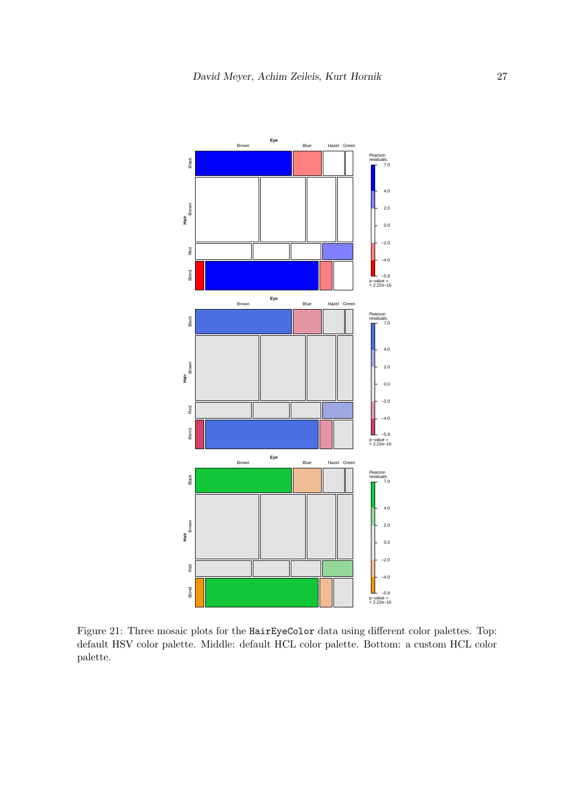![](_page_26_Figure_1.jpeg)

<span id="page-26-0"></span>Figure 21: Three mosaic plots for the HairEyeColor data using different color palettes. Top: default HSV color palette. Middle: default HCL color palette. Bottom: a custom HCL color palette.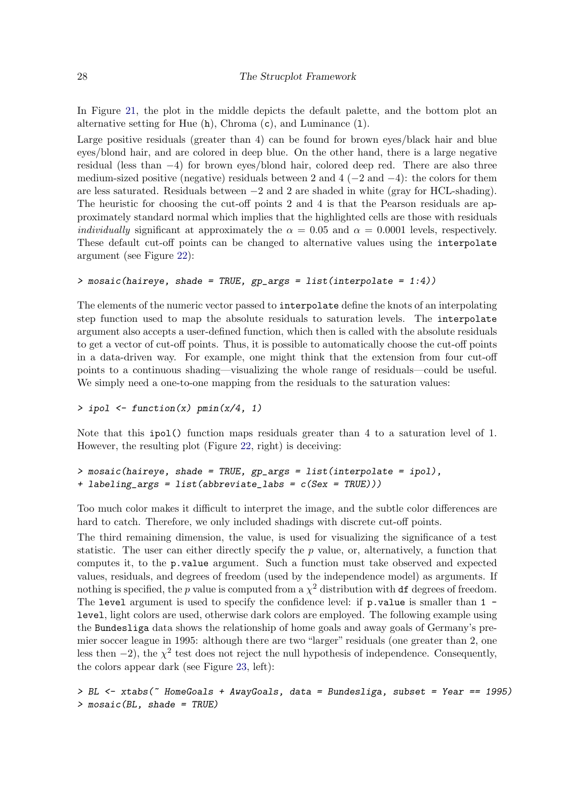In Figure [21,](#page-26-0) the plot in the middle depicts the default palette, and the bottom plot an alternative setting for Hue  $(h)$ , Chroma  $(c)$ , and Luminance  $(1)$ .

Large positive residuals (greater than 4) can be found for brown eyes/black hair and blue eyes/blond hair, and are colored in deep blue. On the other hand, there is a large negative residual (less than −4) for brown eyes/blond hair, colored deep red. There are also three medium-sized positive (negative) residuals between 2 and 4 ( $-2$  and  $-4$ ): the colors for them are less saturated. Residuals between −2 and 2 are shaded in white (gray for HCL-shading). The heuristic for choosing the cut-off points 2 and 4 is that the Pearson residuals are approximately standard normal which implies that the highlighted cells are those with residuals *individually* significant at approximately the  $\alpha = 0.05$  and  $\alpha = 0.0001$  levels, respectively. These default cut-off points can be changed to alternative values using the interpolate argument (see Figure [22\)](#page-28-0):

#### > mosaic(haireye, shade = TRUE, gp\_args = list(interpolate = 1:4))

The elements of the numeric vector passed to interpolate define the knots of an interpolating step function used to map the absolute residuals to saturation levels. The interpolate argument also accepts a user-defined function, which then is called with the absolute residuals to get a vector of cut-off points. Thus, it is possible to automatically choose the cut-off points in a data-driven way. For example, one might think that the extension from four cut-off points to a continuous shading—visualizing the whole range of residuals—could be useful. We simply need a one-to-one mapping from the residuals to the saturation values:

 $>$  ipol  $\le$  function(x) pmin(x/4, 1)

Note that this ipol() function maps residuals greater than 4 to a saturation level of 1. However, the resulting plot (Figure [22,](#page-28-0) right) is deceiving:

```
> mosaic(haireye, shade = TRUE, gp_args = list(interpolate = ipol),
+ labeling_args = list(abbreviate_labs = c(Sex = TRUE)))
```
Too much color makes it difficult to interpret the image, and the subtle color differences are hard to catch. Therefore, we only included shadings with discrete cut-off points.

The third remaining dimension, the value, is used for visualizing the significance of a test statistic. The user can either directly specify the  $p$  value, or, alternatively, a function that computes it, to the p.value argument. Such a function must take observed and expected values, residuals, and degrees of freedom (used by the independence model) as arguments. If nothing is specified, the p value is computed from a  $\chi^2$  distribution with df degrees of freedom. The level argument is used to specify the confidence level: if  $p$  value is smaller than  $1$ level, light colors are used, otherwise dark colors are employed. The following example using the Bundesliga data shows the relationship of home goals and away goals of Germany's premier soccer league in 1995: although there are two "larger" residuals (one greater than 2, one less then  $-2$ ), the  $\chi^2$  test does not reject the null hypothesis of independence. Consequently, the colors appear dark (see Figure [23,](#page-29-0) left):

```
> BL \lt- xtabs(\degree HomeGoals + AwayGoals, data = Bundesliga, subset = Year == 1995)
> mosaic(BL, shade = TRUE)
```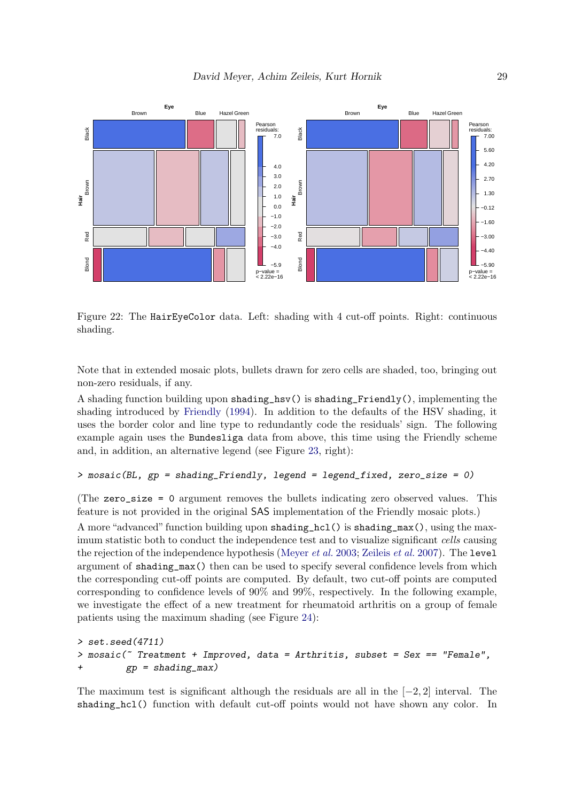![](_page_28_Figure_1.jpeg)

<span id="page-28-0"></span>Figure 22: The HairEyeColor data. Left: shading with 4 cut-off points. Right: continuous shading.

Note that in extended mosaic plots, bullets drawn for zero cells are shaded, too, bringing out non-zero residuals, if any.

A shading function building upon shading\_hsv() is shading\_Friendly(), implementing the shading introduced by [Friendly](#page-43-1) [\(1994\)](#page-43-1). In addition to the defaults of the HSV shading, it uses the border color and line type to redundantly code the residuals' sign. The following example again uses the Bundesliga data from above, this time using the Friendly scheme and, in addition, an alternative legend (see Figure [23,](#page-29-0) right):

```
> mosaic(BL, gp = shading_Friendly, legend = legend_fixed, zero_size = 0)
```
(The zero\_size = 0 argument removes the bullets indicating zero observed values. This feature is not provided in the original SAS implementation of the Friendly mosaic plots.)

A more "advanced" function building upon shading\_hcl() is shading\_max(), using the maximum statistic both to conduct the independence test and to visualize significant cells causing the rejection of the independence hypothesis [\(Meyer](#page-45-4) *et al.* [2003;](#page-45-4) [Zeileis](#page-46-0) *et al.* [2007\)](#page-46-0). The level argument of shading\_max() then can be used to specify several confidence levels from which the corresponding cut-off points are computed. By default, two cut-off points are computed corresponding to confidence levels of 90% and 99%, respectively. In the following example, we investigate the effect of a new treatment for rheumatoid arthritis on a group of female patients using the maximum shading (see Figure [24\)](#page-30-0):

```
> set.seed(4711)
> mosaic(\tilde{ } Treatment + Improved, data = Arthritis, subset = Sex == "Female",
+ gp = shading_max)
```
The maximum test is significant although the residuals are all in the  $[-2, 2]$  interval. The shading\_hcl() function with default cut-off points would not have shown any color. In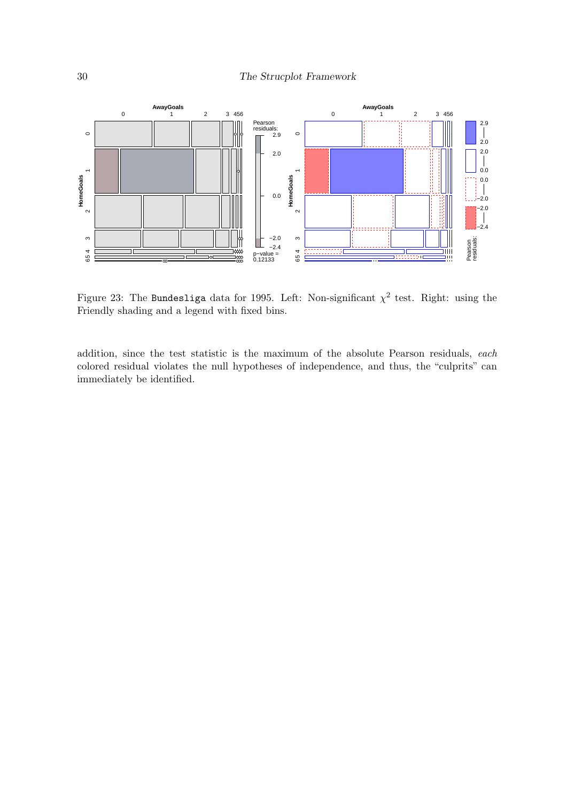![](_page_29_Figure_1.jpeg)

<span id="page-29-0"></span>Figure 23: The Bundesliga data for 1995. Left: Non-significant  $\chi^2$  test. Right: using the Friendly shading and a legend with fixed bins.

addition, since the test statistic is the maximum of the absolute Pearson residuals, each colored residual violates the null hypotheses of independence, and thus, the "culprits" can immediately be identified.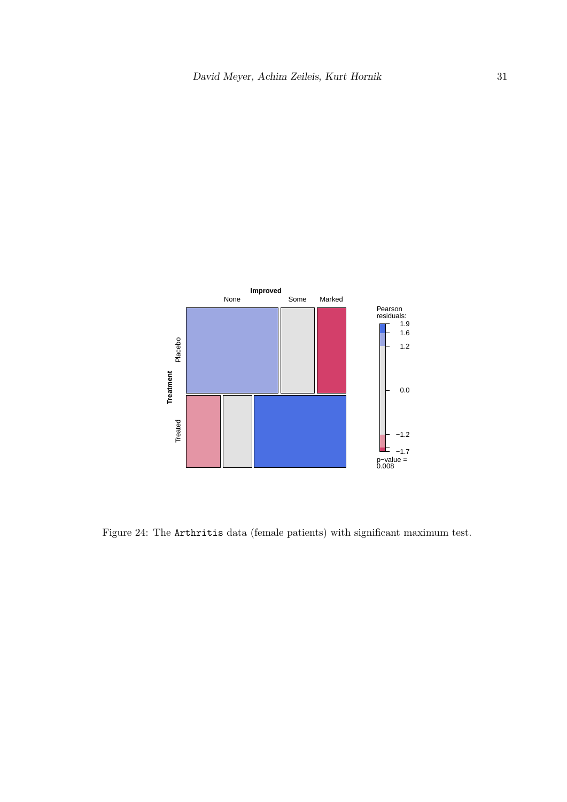![](_page_30_Figure_1.jpeg)

<span id="page-30-0"></span>Figure 24: The Arthritis data (female patients) with significant maximum test.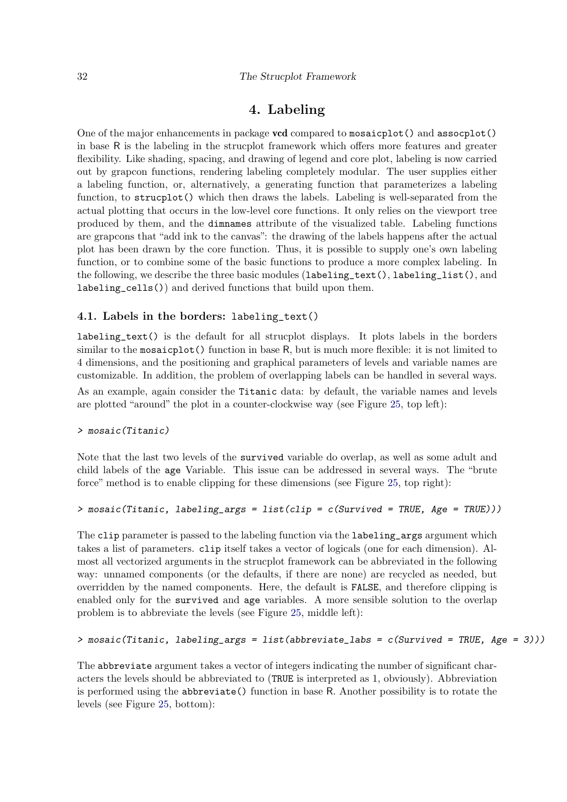## 4. Labeling

<span id="page-31-0"></span>One of the major enhancements in package vcd compared to mosaicplot() and assocplot() in base R is the labeling in the strucplot framework which offers more features and greater flexibility. Like shading, spacing, and drawing of legend and core plot, labeling is now carried out by grapcon functions, rendering labeling completely modular. The user supplies either a labeling function, or, alternatively, a generating function that parameterizes a labeling function, to strucplot() which then draws the labels. Labeling is well-separated from the actual plotting that occurs in the low-level core functions. It only relies on the viewport tree produced by them, and the dimnames attribute of the visualized table. Labeling functions are grapcons that "add ink to the canvas": the drawing of the labels happens after the actual plot has been drawn by the core function. Thus, it is possible to supply one's own labeling function, or to combine some of the basic functions to produce a more complex labeling. In the following, we describe the three basic modules (labeling\_text(), labeling\_list(), and labeling\_cells()) and derived functions that build upon them.

#### 4.1. Labels in the borders: labeling\_text()

labeling\_text() is the default for all strucplot displays. It plots labels in the borders similar to the mosaic plot() function in base R, but is much more flexible: it is not limited to 4 dimensions, and the positioning and graphical parameters of levels and variable names are customizable. In addition, the problem of overlapping labels can be handled in several ways.

As an example, again consider the Titanic data: by default, the variable names and levels are plotted "around" the plot in a counter-clockwise way (see Figure [25,](#page-33-0) top left):

#### > mosaic(Titanic)

Note that the last two levels of the survived variable do overlap, as well as some adult and child labels of the age Variable. This issue can be addressed in several ways. The "brute force" method is to enable clipping for these dimensions (see Figure [25,](#page-33-0) top right):

#### $>$  mosaic(Titanic, labeling\_args = list(clip = c(Survived = TRUE, Age = TRUE)))

The clip parameter is passed to the labeling function via the labeling\_args argument which takes a list of parameters. clip itself takes a vector of logicals (one for each dimension). Almost all vectorized arguments in the strucplot framework can be abbreviated in the following way: unnamed components (or the defaults, if there are none) are recycled as needed, but overridden by the named components. Here, the default is FALSE, and therefore clipping is enabled only for the survived and age variables. A more sensible solution to the overlap problem is to abbreviate the levels (see Figure [25,](#page-33-0) middle left):

#### > mosaic(Titanic, labeling\_args = list(abbreviate\_labs = c(Survived = TRUE, Age = 3)))

The abbreviate argument takes a vector of integers indicating the number of significant characters the levels should be abbreviated to (TRUE is interpreted as 1, obviously). Abbreviation is performed using the abbreviate() function in base R. Another possibility is to rotate the levels (see Figure [25,](#page-33-0) bottom):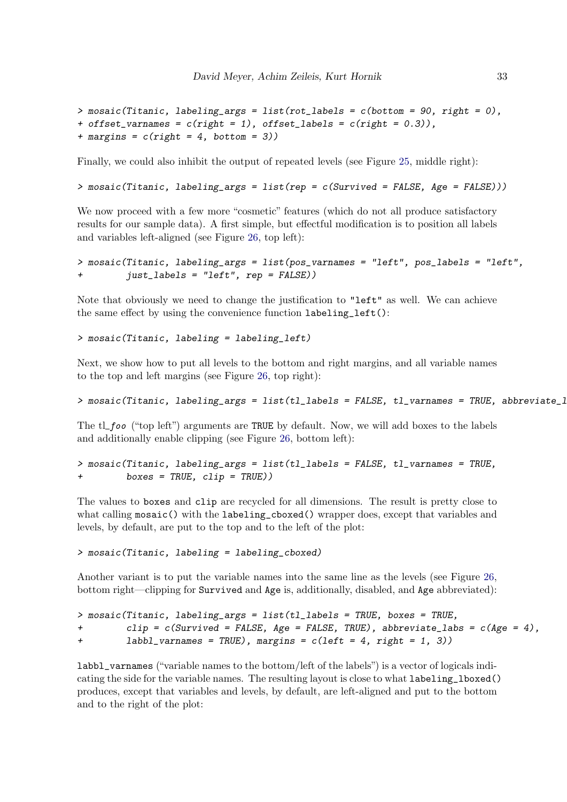```
> mosaic(Titanic, labeling_args = list(rot_labels = c(bottom = 90, right = 0),
+ offset_varnames = c(right = 1), offset_labels = c(right = 0.3)),
+ margins = c(right = 4, bottom = 3))
```
Finally, we could also inhibit the output of repeated levels (see Figure [25,](#page-33-0) middle right):

```
> mosaic(Titanic, labeling_args = list(rep = c(Survived = FALSE, Age = FALSE)))
```
We now proceed with a few more "cosmetic" features (which do not all produce satisfactory results for our sample data). A first simple, but effectful modification is to position all labels and variables left-aligned (see Figure [26,](#page-34-0) top left):

```
> mosaic(Titanic, labeling_args = list(pos_varnames = "left", pos_labels = "left",
        just_labels = "left", rep = FALSE))
```
Note that obviously we need to change the justification to "left" as well. We can achieve the same effect by using the convenience function labeling\_left():

> mosaic(Titanic, labeling = labeling\_left)

Next, we show how to put all levels to the bottom and right margins, and all variable names to the top and left margins (see Figure [26,](#page-34-0) top right):

```
> mosaic(Titanic, labeling_args = list(tl_labels = FALSE, tl_varnames = TRUE, abbreviate_1
```
The tl foo ("top left") arguments are TRUE by default. Now, we will add boxes to the labels and additionally enable clipping (see Figure [26,](#page-34-0) bottom left):

> mosaic(Titanic, labeling\_args = list(tl\_labels = FALSE, tl\_varnames = TRUE, + boxes = TRUE, clip = TRUE))

The values to boxes and clip are recycled for all dimensions. The result is pretty close to what calling mosaic() with the labeling\_cboxed() wrapper does, except that variables and levels, by default, are put to the top and to the left of the plot:

> mosaic(Titanic, labeling = labeling\_cboxed)

Another variant is to put the variable names into the same line as the levels (see Figure [26,](#page-34-0) bottom right—clipping for Survived and Age is, additionally, disabled, and Age abbreviated):

```
> mosaic(Titanic, labeling_args = list(tl_labels = TRUE, boxes = TRUE,
+ clip = c(Survived = FALSE, Age = FALSE, TRUE), abbreviate_labs = c(Age = 4),
+ labbl_varnames = TRUE), margins = c(\text{left} = 4, \text{right} = 1, 3)
```
labbl\_varnames ("variable names to the bottom/left of the labels") is a vector of logicals indicating the side for the variable names. The resulting layout is close to what labeling\_lboxed() produces, except that variables and levels, by default, are left-aligned and put to the bottom and to the right of the plot: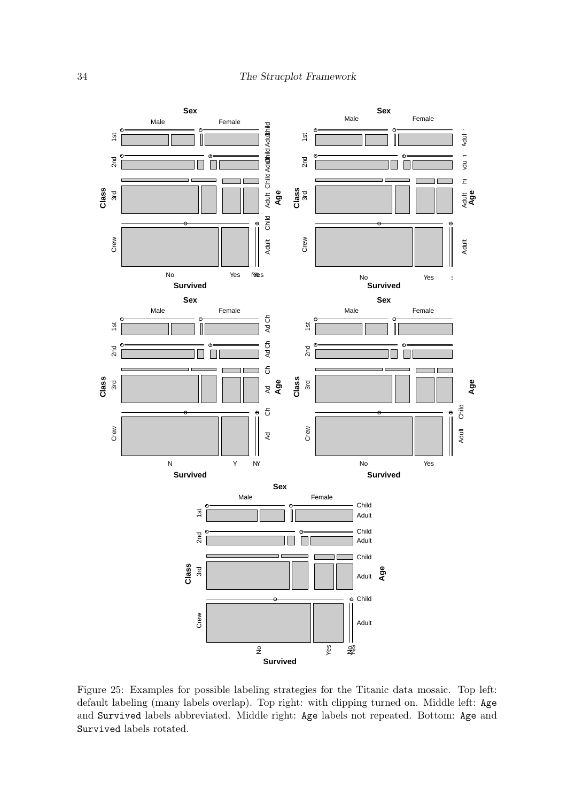![](_page_33_Figure_1.jpeg)

<span id="page-33-0"></span>Figure 25: Examples for possible labeling strategies for the Titanic data mosaic. Top left: default labeling (many labels overlap). Top right: with clipping turned on. Middle left: Age and Survived labels abbreviated. Middle right: Age labels not repeated. Bottom: Age and Survived labels rotated.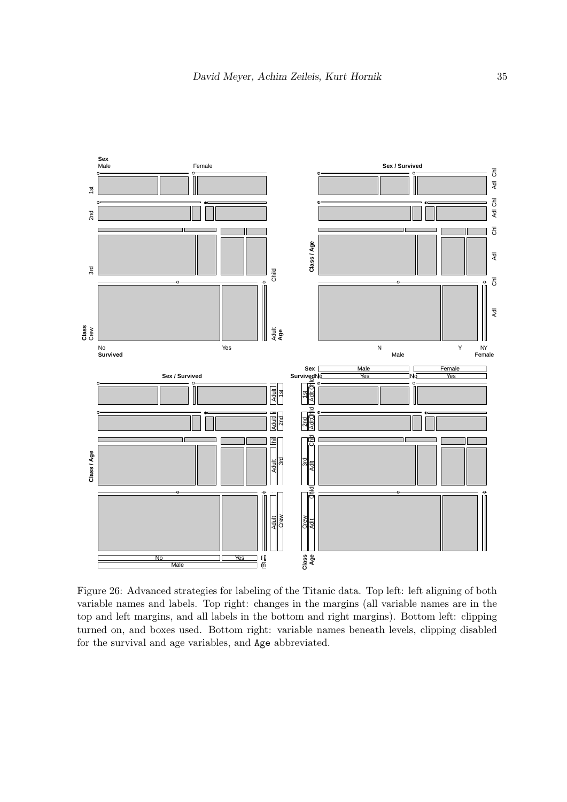![](_page_34_Figure_1.jpeg)

<span id="page-34-0"></span>Figure 26: Advanced strategies for labeling of the Titanic data. Top left: left aligning of both variable names and labels. Top right: changes in the margins (all variable names are in the top and left margins, and all labels in the bottom and right margins). Bottom left: clipping turned on, and boxes used. Bottom right: variable names beneath levels, clipping disabled for the survival and age variables, and Age abbreviated.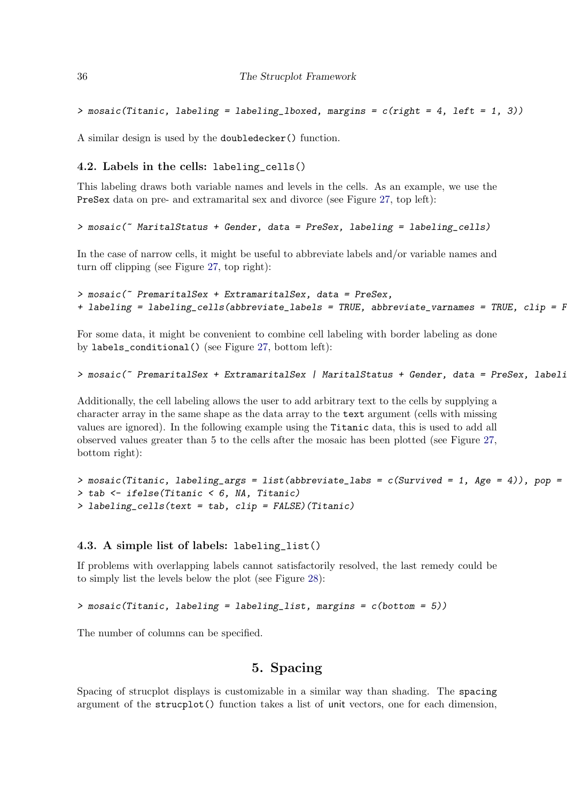```
> mosaic(Titanic, labeling = labeling_lboxed, margins = c(right = 4, left = 1, 3))
```
A similar design is used by the doubledecker() function.

#### 4.2. Labels in the cells: labeling\_cells()

This labeling draws both variable names and levels in the cells. As an example, we use the PreSex data on pre- and extramarital sex and divorce (see Figure [27,](#page-36-0) top left):

#### > mosaic(" MaritalStatus + Gender, data = PreSex, labeling = labeling\_cells)

In the case of narrow cells, it might be useful to abbreviate labels and/or variable names and turn off clipping (see Figure [27,](#page-36-0) top right):

```
> mosaic(~ PremaritalSex + ExtramaritalSex, data = PreSex,
+ labeling = labeling_cells(abbreviate_labels = TRUE, abbreviate_varnames = TRUE, clip = F
```
For some data, it might be convenient to combine cell labeling with border labeling as done by labels\_conditional() (see Figure [27,](#page-36-0) bottom left):

```
> mosaic(~ PremaritalSex + ExtramaritalSex | MaritalStatus + Gender, data = PreSex, labeli
```
Additionally, the cell labeling allows the user to add arbitrary text to the cells by supplying a character array in the same shape as the data array to the text argument (cells with missing values are ignored). In the following example using the Titanic data, this is used to add all observed values greater than 5 to the cells after the mosaic has been plotted (see Figure [27,](#page-36-0) bottom right):

```
> mosaic(Titanic, labeling_args = list(abbreviate_labs = c(Survived = 1, Age = 4)), pop =
> tab <- ifelse(Titanic < 6, NA, Titanic)
> labeling_cells(text = tab, clip = FALSE)(Titanic)
```
#### 4.3. A simple list of labels: labeling\_list()

If problems with overlapping labels cannot satisfactorily resolved, the last remedy could be to simply list the levels below the plot (see Figure [28\)](#page-38-0):

```
> mosaic(Titanic, labeling = labeling_list, margins = c(bottom = 5))
```
The number of columns can be specified.

## 5. Spacing

<span id="page-35-0"></span>Spacing of strucplot displays is customizable in a similar way than shading. The spacing argument of the strucplot() function takes a list of unit vectors, one for each dimension,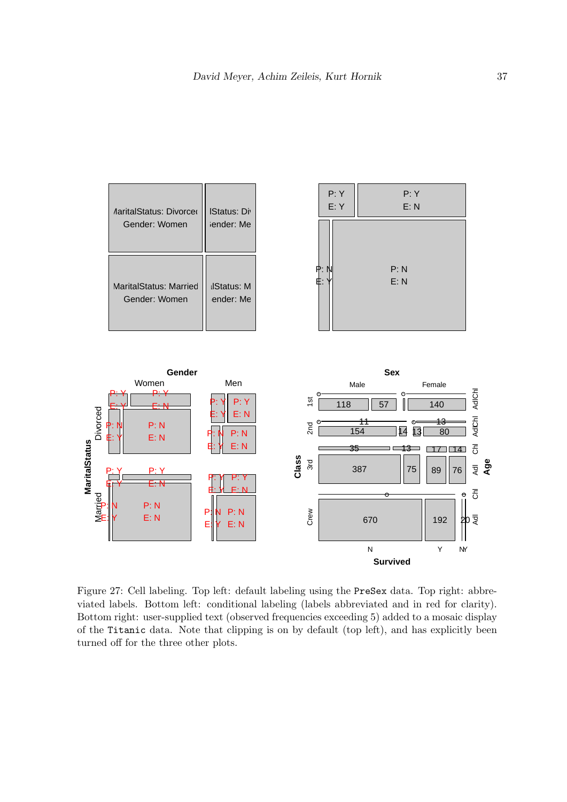| <b><i>AaritalStatus: Divorcer</i></b><br>Gender: Women | <b>IStatus: Div.</b><br>iender: Me | P: Y<br>E:Y | P: Y<br>E: N |
|--------------------------------------------------------|------------------------------------|-------------|--------------|
| MaritalStatus: Married                                 | <b>IlStatus: M</b>                 | P: N<br>Ė.  | P: N<br>E: N |
| Gender: Women                                          | ender: Me                          |             |              |

![](_page_36_Figure_2.jpeg)

<span id="page-36-0"></span>Figure 27: Cell labeling. Top left: default labeling using the PreSex data. Top right: abbreviated labels. Bottom left: conditional labeling (labels abbreviated and in red for clarity). Bottom right: user-supplied text (observed frequencies exceeding 5) added to a mosaic display of the Titanic data. Note that clipping is on by default (top left), and has explicitly been turned off for the three other plots.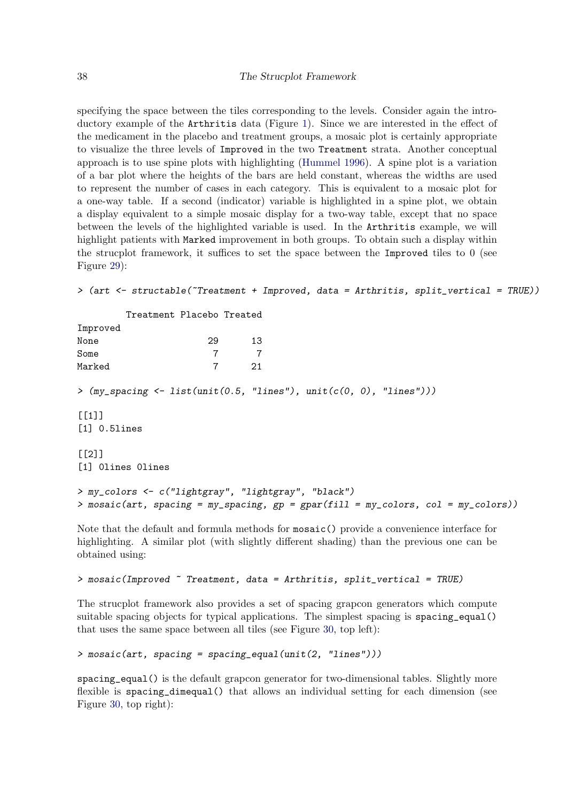specifying the space between the tiles corresponding to the levels. Consider again the introductory example of the Arthritis data (Figure [1\)](#page-3-0). Since we are interested in the effect of the medicament in the placebo and treatment groups, a mosaic plot is certainly appropriate to visualize the three levels of Improved in the two Treatment strata. Another conceptual approach is to use spine plots with highlighting [\(Hummel](#page-45-10) [1996\)](#page-45-10). A spine plot is a variation of a bar plot where the heights of the bars are held constant, whereas the widths are used to represent the number of cases in each category. This is equivalent to a mosaic plot for a one-way table. If a second (indicator) variable is highlighted in a spine plot, we obtain a display equivalent to a simple mosaic display for a two-way table, except that no space between the levels of the highlighted variable is used. In the Arthritis example, we will highlight patients with Marked improvement in both groups. To obtain such a display within the strucplot framework, it suffices to set the space between the Improved tiles to 0 (see Figure [29\)](#page-38-1):

```
> (art <- structable(~Treatment + Improved, data = Arthritis, split_vertical = TRUE))
```

|                                                                                                                                          | Treatment Placebo Treated |                |  |  |
|------------------------------------------------------------------------------------------------------------------------------------------|---------------------------|----------------|--|--|
| Improved                                                                                                                                 |                           |                |  |  |
| None                                                                                                                                     | 29                        | 13             |  |  |
| Some                                                                                                                                     | $\overline{7}$            | $\overline{7}$ |  |  |
| Marked                                                                                                                                   | $\overline{7}$            | 21             |  |  |
| > $(my\_spacing \leftarrow list(unit(0.5, "lines"), unit(c(0, 0), "lines"))$                                                             |                           |                |  |  |
| [11]                                                                                                                                     |                           |                |  |  |
| $[1]$ 0.51ines                                                                                                                           |                           |                |  |  |
| $[$ [2]]                                                                                                                                 |                           |                |  |  |
| [1] Olines Olines                                                                                                                        |                           |                |  |  |
| > my_colors <- c("lightgray", "lightgray", "black")<br>> mosaic(art, spacing = my_spacing, gp = gpar(fill = my_colors, col = my_colors)) |                           |                |  |  |
| Note that the default and formula methods for mosaic () provide a convenience interface for                                              |                           |                |  |  |

highlighting. A similar plot (with slightly different shading) than the previous one can be obtained using:

#### > mosaic(Improved ~ Treatment, data = Arthritis, split\_vertical = TRUE)

The strucplot framework also provides a set of spacing grapcon generators which compute suitable spacing objects for typical applications. The simplest spacing is spacing equal() that uses the same space between all tiles (see Figure [30,](#page-40-0) top left):

```
> mosaic(art, spacing = spacing_equal(unit(2, "lines")))
```
spacing\_equal() is the default grapcon generator for two-dimensional tables. Slightly more flexible is spacing\_dimequal() that allows an individual setting for each dimension (see Figure [30,](#page-40-0) top right):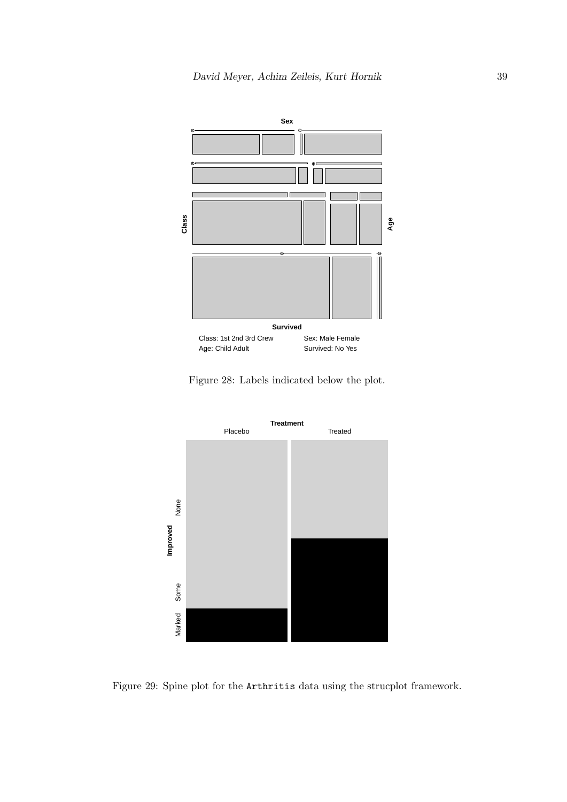![](_page_38_Figure_1.jpeg)

<span id="page-38-0"></span>Figure 28: Labels indicated below the plot.

![](_page_38_Figure_3.jpeg)

<span id="page-38-1"></span>Figure 29: Spine plot for the Arthritis data using the strucplot framework.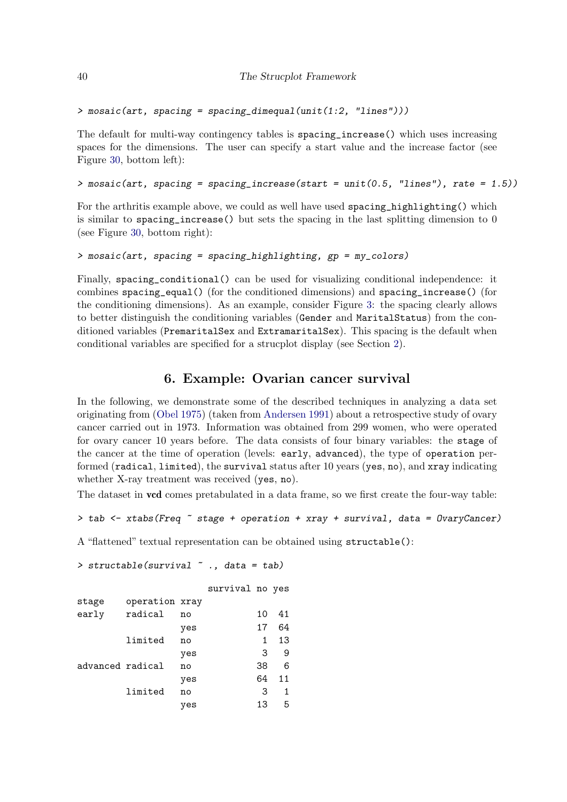```
> mosaic(art, spacing = spacing_dimequal(unit(1:2, "lines")))
```
The default for multi-way contingency tables is spacing\_increase() which uses increasing spaces for the dimensions. The user can specify a start value and the increase factor (see Figure [30,](#page-40-0) bottom left):

```
> mosaic(art, spacing = spacing_increase(start = unit(0.5, "lines"), rate = 1.5))
```
For the arthritis example above, we could as well have used spacing\_highlighting() which is similar to spacing\_increase() but sets the spacing in the last splitting dimension to 0 (see Figure [30,](#page-40-0) bottom right):

```
> mosaic(art, spacing = spacing_highlighting, gp = my_colors)
```
Finally, spacing\_conditional() can be used for visualizing conditional independence: it combines spacing\_equal() (for the conditioned dimensions) and spacing\_increase() (for the conditioning dimensions). As an example, consider Figure [3:](#page-4-1) the spacing clearly allows to better distinguish the conditioning variables (Gender and MaritalStatus) from the conditioned variables (PremaritalSex and ExtramaritalSex). This spacing is the default when conditional variables are specified for a strucplot display (see Section [2\)](#page-2-0).

## 6. Example: Ovarian cancer survival

<span id="page-39-0"></span>In the following, we demonstrate some of the described techniques in analyzing a data set originating from [\(Obel](#page-45-11) [1975\)](#page-45-11) (taken from [Andersen](#page-43-5) [1991\)](#page-43-5) about a retrospective study of ovary cancer carried out in 1973. Information was obtained from 299 women, who were operated for ovary cancer 10 years before. The data consists of four binary variables: the stage of the cancer at the time of operation (levels: early, advanced), the type of operation performed (radical, limited), the survival status after 10 years (yes, no), and xray indicating whether X-ray treatment was received (yes, no).

The dataset in **vcd** comes pretabulated in a data frame, so we first create the four-way table:

```
> tab \le xtabs(Freq \tilde{ } stage + operation + xray + survival, data = 0varyCancer)
```
A "flattened" textual representation can be obtained using structable():

```
> structable(survival ~ ., data = tab)
               survival no yes
stage operation xray
early radical no 10 41
            yes 17 64
     limited no 1 13
            yes 3 9
advanced radical no 38 6
            yes 64 11
     limited no 3 1
            yes 13 5
```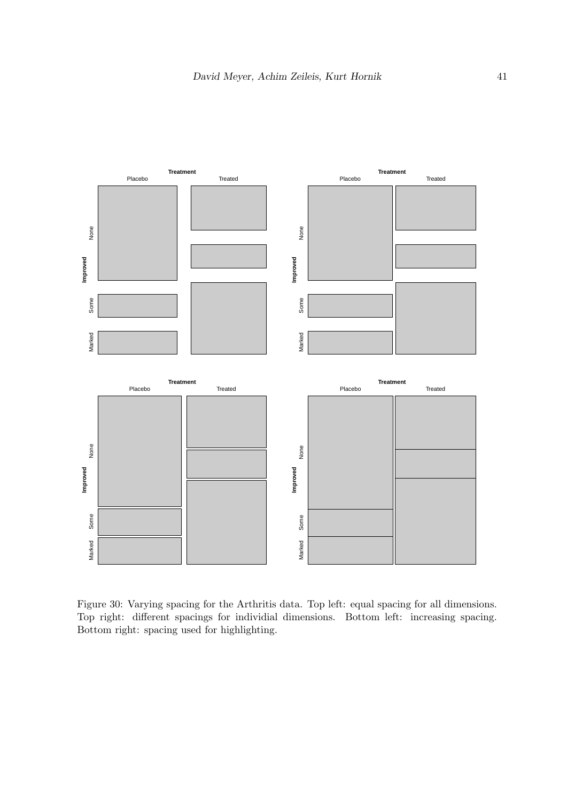![](_page_40_Figure_1.jpeg)

<span id="page-40-0"></span>Figure 30: Varying spacing for the Arthritis data. Top left: equal spacing for all dimensions. Top right: different spacings for individial dimensions. Bottom left: increasing spacing. Bottom right: spacing used for highlighting.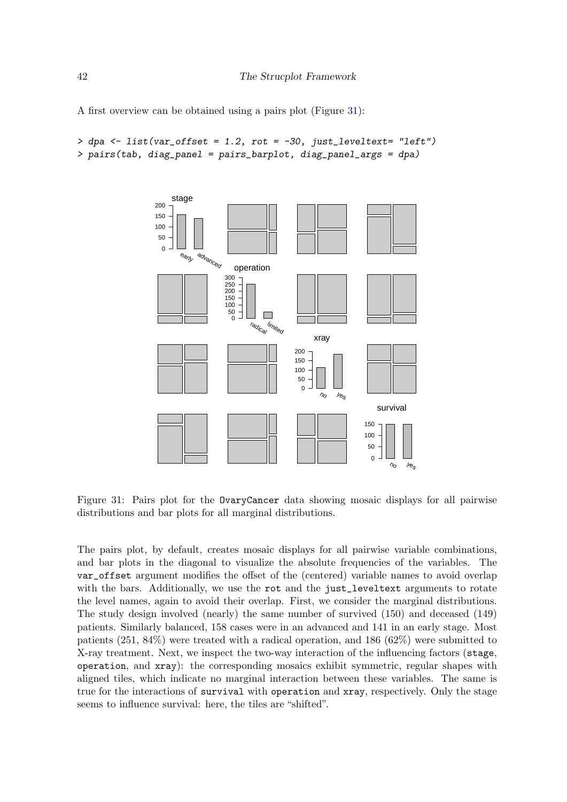A first overview can be obtained using a pairs plot (Figure [31\)](#page-41-0):

```
> dpa <- list(var_offset = 1.2, rot = -30, just_leveltext= "left")
> pairs(tab, diag_panel = pairs_barplot, diag_panel_args = dpa)
```
![](_page_41_Figure_3.jpeg)

<span id="page-41-0"></span>Figure 31: Pairs plot for the OvaryCancer data showing mosaic displays for all pairwise distributions and bar plots for all marginal distributions.

The pairs plot, by default, creates mosaic displays for all pairwise variable combinations, and bar plots in the diagonal to visualize the absolute frequencies of the variables. The var\_offset argument modifies the offset of the (centered) variable names to avoid overlap with the bars. Additionally, we use the rot and the just\_leveltext arguments to rotate the level names, again to avoid their overlap. First, we consider the marginal distributions. The study design involved (nearly) the same number of survived (150) and deceased (149) patients. Similarly balanced, 158 cases were in an advanced and 141 in an early stage. Most patients (251, 84%) were treated with a radical operation, and 186 (62%) were submitted to X-ray treatment. Next, we inspect the two-way interaction of the influencing factors (stage, operation, and xray): the corresponding mosaics exhibit symmetric, regular shapes with aligned tiles, which indicate no marginal interaction between these variables. The same is true for the interactions of survival with operation and xray, respectively. Only the stage seems to influence survival: here, the tiles are "shifted".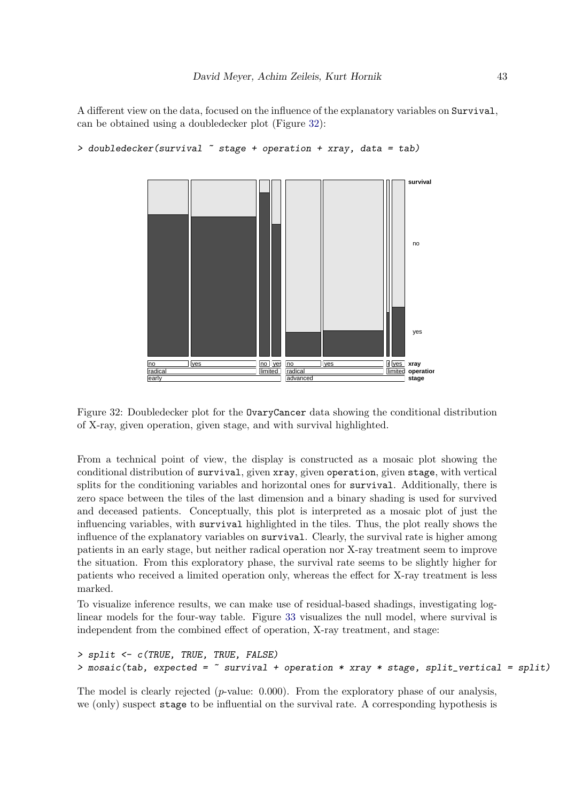A different view on the data, focused on the influence of the explanatory variables on Survival, can be obtained using a doubledecker plot (Figure [32\)](#page-42-0):

```
stage
                                                                                                operation
                                                                                                xray
 early
<u>radica</u>
               l ves
                                         limited
                                         no ves
                                                   advanced
                                                   radica
                                                   no ves
                                                                                         limited
                                                                                        n ves
                                                                                                  yes
                                                                                                  no
                                                                                                survival
```

```
> doubledecker(survival ~ stage + operation + xray, data = tab)
```
<span id="page-42-0"></span>Figure 32: Doubledecker plot for the OvaryCancer data showing the conditional distribution of X-ray, given operation, given stage, and with survival highlighted.

From a technical point of view, the display is constructed as a mosaic plot showing the conditional distribution of survival, given xray, given operation, given stage, with vertical splits for the conditioning variables and horizontal ones for survival. Additionally, there is zero space between the tiles of the last dimension and a binary shading is used for survived and deceased patients. Conceptually, this plot is interpreted as a mosaic plot of just the influencing variables, with survival highlighted in the tiles. Thus, the plot really shows the influence of the explanatory variables on survival. Clearly, the survival rate is higher among patients in an early stage, but neither radical operation nor X-ray treatment seem to improve the situation. From this exploratory phase, the survival rate seems to be slightly higher for patients who received a limited operation only, whereas the effect for X-ray treatment is less marked.

To visualize inference results, we can make use of residual-based shadings, investigating loglinear models for the four-way table. Figure [33](#page-44-0) visualizes the null model, where survival is independent from the combined effect of operation, X-ray treatment, and stage:

```
> split <- c(TRUE, TRUE, TRUE, FALSE)
> mosaic(tab, expected = \sim survival + operation * xray * stage, split_vertical = split)
```
The model is clearly rejected  $(p$ -value: 0.000). From the exploratory phase of our analysis, we (only) suspect stage to be influential on the survival rate. A corresponding hypothesis is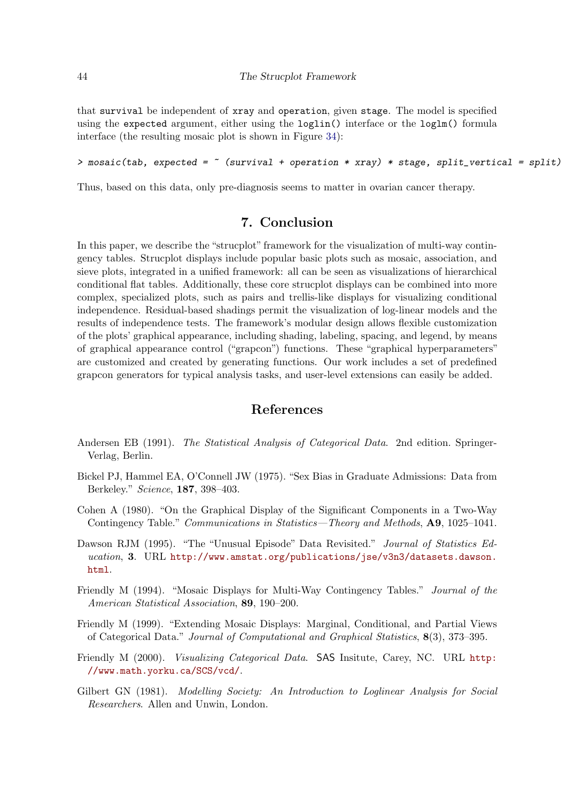that survival be independent of xray and operation, given stage. The model is specified using the expected argument, either using the loglin() interface or the loglm() formula interface (the resulting mosaic plot is shown in Figure [34\)](#page-44-1):

 $>$  mosaic(tab, expected =  $\sim$  (survival + operation \* xray) \* stage, split\_vertical = split)

Thus, based on this data, only pre-diagnosis seems to matter in ovarian cancer therapy.

## 7. Conclusion

<span id="page-43-4"></span>In this paper, we describe the "strucplot" framework for the visualization of multi-way contingency tables. Strucplot displays include popular basic plots such as mosaic, association, and sieve plots, integrated in a unified framework: all can be seen as visualizations of hierarchical conditional flat tables. Additionally, these core strucplot displays can be combined into more complex, specialized plots, such as pairs and trellis-like displays for visualizing conditional independence. Residual-based shadings permit the visualization of log-linear models and the results of independence tests. The framework's modular design allows flexible customization of the plots' graphical appearance, including shading, labeling, spacing, and legend, by means of graphical appearance control ("grapcon") functions. These "graphical hyperparameters" are customized and created by generating functions. Our work includes a set of predefined grapcon generators for typical analysis tasks, and user-level extensions can easily be added.

### References

- <span id="page-43-5"></span>Andersen EB (1991). The Statistical Analysis of Categorical Data. 2nd edition. Springer-Verlag, Berlin.
- <span id="page-43-8"></span>Bickel PJ, Hammel EA, O'Connell JW (1975). "Sex Bias in Graduate Admissions: Data from Berkeley." Science, 187, 398–403.
- <span id="page-43-0"></span>Cohen A (1980). "On the Graphical Display of the Significant Components in a Two-Way Contingency Table." Communications in Statistics—Theory and Methods, A9, 1025–1041.
- <span id="page-43-7"></span>Dawson RJM (1995). "The "Unusual Episode" Data Revisited." Journal of Statistics Education, 3. URL [http://www.amstat.org/publications/jse/v3n3/datasets.dawson.](http://www.amstat.org/publications/jse/v3n3/datasets.dawson.html) [html](http://www.amstat.org/publications/jse/v3n3/datasets.dawson.html).
- <span id="page-43-1"></span>Friendly M (1994). "Mosaic Displays for Multi-Way Contingency Tables." Journal of the American Statistical Association, 89, 190–200.
- <span id="page-43-3"></span>Friendly M (1999). "Extending Mosaic Displays: Marginal, Conditional, and Partial Views of Categorical Data." Journal of Computational and Graphical Statistics, 8(3), 373–395.
- <span id="page-43-2"></span>Friendly M (2000). Visualizing Categorical Data. SAS Insitute, Carey, NC. URL [http:](http://www.math.yorku.ca/SCS/vcd/) [//www.math.yorku.ca/SCS/vcd/](http://www.math.yorku.ca/SCS/vcd/).
- <span id="page-43-6"></span>Gilbert GN (1981). Modelling Society: An Introduction to Loglinear Analysis for Social Researchers. Allen and Unwin, London.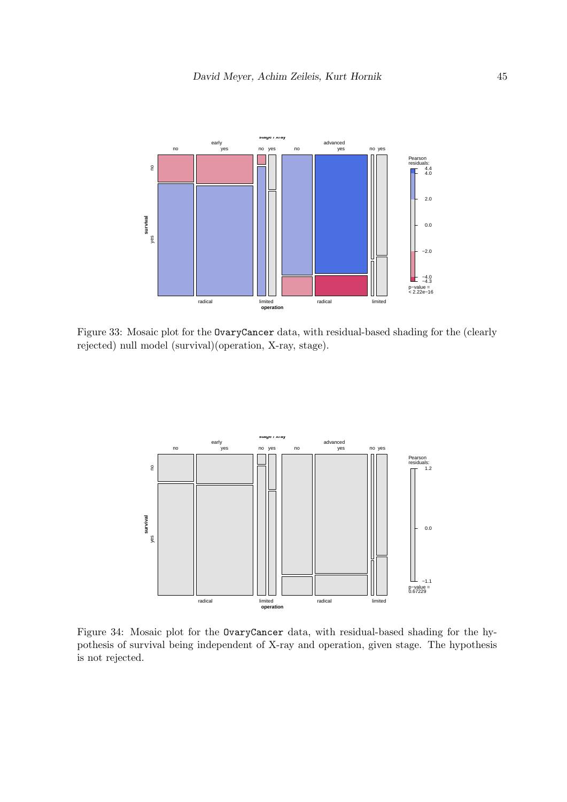![](_page_44_Figure_1.jpeg)

<span id="page-44-0"></span>Figure 33: Mosaic plot for the OvaryCancer data, with residual-based shading for the (clearly rejected) null model (survival)(operation, X-ray, stage).

![](_page_44_Figure_3.jpeg)

<span id="page-44-1"></span>Figure 34: Mosaic plot for the OvaryCancer data, with residual-based shading for the hypothesis of survival being independent of X-ray and operation, given stage. The hypothesis is not rejected.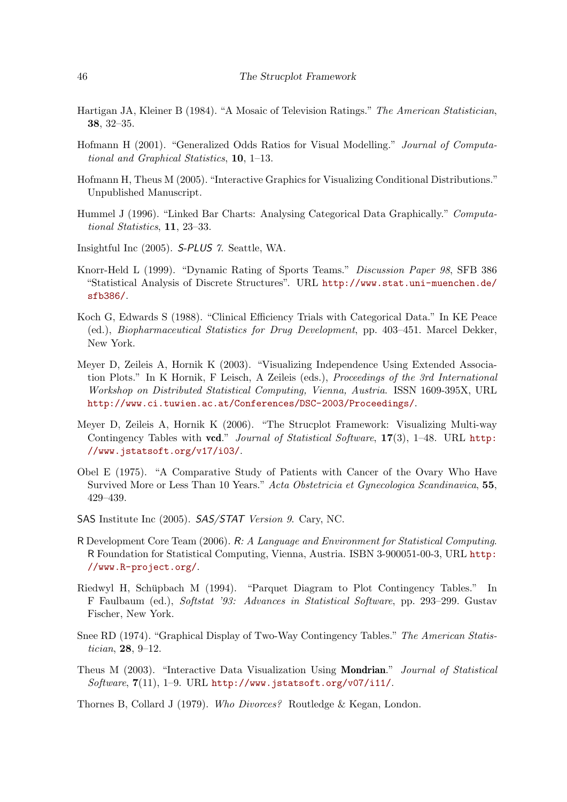- <span id="page-45-1"></span>Hartigan JA, Kleiner B (1984). "A Mosaic of Television Ratings." The American Statistician, 38, 32–35.
- <span id="page-45-2"></span>Hofmann H (2001). "Generalized Odds Ratios for Visual Modelling." Journal of Computational and Graphical Statistics, 10, 1–13.
- <span id="page-45-3"></span>Hofmann H, Theus M (2005). "Interactive Graphics for Visualizing Conditional Distributions." Unpublished Manuscript.
- <span id="page-45-10"></span>Hummel J (1996). "Linked Bar Charts: Analysing Categorical Data Graphically." Computational Statistics, 11, 23–33.
- <span id="page-45-8"></span>Insightful Inc (2005). S-PLUS 7. Seattle, WA.
- <span id="page-45-13"></span>Knorr-Held L (1999). "Dynamic Rating of Sports Teams." Discussion Paper 98, SFB 386 "Statistical Analysis of Discrete Structures". URL [http://www.stat.uni-muenchen.de/](http://www.stat.uni-muenchen.de/sfb386/) [sfb386/](http://www.stat.uni-muenchen.de/sfb386/).
- <span id="page-45-12"></span>Koch G, Edwards S (1988). "Clinical Efficiency Trials with Categorical Data." In KE Peace (ed.), Biopharmaceutical Statistics for Drug Development, pp. 403–451. Marcel Dekker, New York.
- <span id="page-45-4"></span>Meyer D, Zeileis A, Hornik K (2003). "Visualizing Independence Using Extended Association Plots." In K Hornik, F Leisch, A Zeileis (eds.), Proceedings of the 3rd International Workshop on Distributed Statistical Computing, Vienna, Austria. ISSN 1609-395X, URL <http://www.ci.tuwien.ac.at/Conferences/DSC-2003/Proceedings/>.
- <span id="page-45-0"></span>Meyer D, Zeileis A, Hornik K (2006). "The Strucplot Framework: Visualizing Multi-way Contingency Tables with vcd." Journal of Statistical Software,  $17(3)$ , 1–48. URL [http:](http://www.jstatsoft.org/v17/i03/) [//www.jstatsoft.org/v17/i03/](http://www.jstatsoft.org/v17/i03/).
- <span id="page-45-11"></span>Obel E (1975). "A Comparative Study of Patients with Cancer of the Ovary Who Have Survived More or Less Than 10 Years." Acta Obstetricia et Gynecologica Scandinavica, 55, 429–439.
- <span id="page-45-6"></span>SAS Institute Inc (2005). SAS/STAT Version 9. Cary, NC.
- <span id="page-45-7"></span>R Development Core Team (2006). R: A Language and Environment for Statistical Computing. R Foundation for Statistical Computing, Vienna, Austria. ISBN 3-900051-00-3, URL [http:](http://www.R-project.org/) [//www.R-project.org/](http://www.R-project.org/).
- <span id="page-45-9"></span>Riedwyl H, Schüpbach M (1994). "Parquet Diagram to Plot Contingency Tables." In F Faulbaum (ed.), Softstat '93: Advances in Statistical Software, pp. 293–299. Gustav Fischer, New York.
- <span id="page-45-14"></span>Snee RD (1974). "Graphical Display of Two-Way Contingency Tables." The American Statistician, 28, 9–12.
- <span id="page-45-5"></span>Theus M (2003). "Interactive Data Visualization Using Mondrian." Journal of Statistical Software,  $7(11)$ , 1-9. URL <http://www.jstatsoft.org/v07/i11/>.

<span id="page-45-15"></span>Thornes B, Collard J (1979). Who Divorces? Routledge & Kegan, London.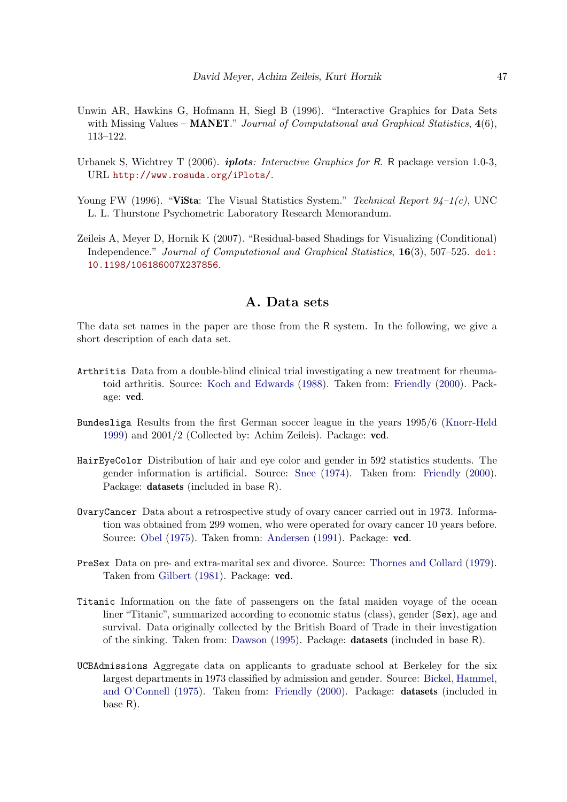- <span id="page-46-1"></span>Unwin AR, Hawkins G, Hofmann H, Siegl B (1996). "Interactive Graphics for Data Sets with Missing Values – **MANET**." Journal of Computational and Graphical Statistics,  $4(6)$ , 113–122.
- <span id="page-46-3"></span>Urbanek S, Wichtrey T (2006). **iplots**: Interactive Graphics for R. R package version 1.0-3, URL <http://www.rosuda.org/iPlots/>.
- <span id="page-46-2"></span>Young FW (1996). "ViSta: The Visual Statistics System." Technical Report  $94-1(c)$ , UNC L. L. Thurstone Psychometric Laboratory Research Memorandum.
- <span id="page-46-0"></span>Zeileis A, Meyer D, Hornik K (2007). "Residual-based Shadings for Visualizing (Conditional) Independence." Journal of Computational and Graphical Statistics, 16(3), 507–525. [doi:](http://dx.doi.org/10.1198/106186007X237856) [10.1198/106186007X237856](http://dx.doi.org/10.1198/106186007X237856).

## A. Data sets

The data set names in the paper are those from the R system. In the following, we give a short description of each data set.

- Arthritis Data from a double-blind clinical trial investigating a new treatment for rheumatoid arthritis. Source: [Koch and Edwards](#page-45-12) [\(1988\)](#page-45-12). Taken from: [Friendly](#page-43-2) [\(2000\)](#page-43-2). Package: vcd.
- Bundesliga Results from the first German soccer league in the years 1995/6 [\(Knorr-Held](#page-45-13) [1999\)](#page-45-13) and 2001/2 (Collected by: Achim Zeileis). Package: vcd.
- HairEyeColor Distribution of hair and eye color and gender in 592 statistics students. The gender information is artificial. Source: [Snee](#page-45-14) [\(1974\)](#page-45-14). Taken from: [Friendly](#page-43-2) [\(2000\)](#page-43-2). Package: datasets (included in base R).
- OvaryCancer Data about a retrospective study of ovary cancer carried out in 1973. Information was obtained from 299 women, who were operated for ovary cancer 10 years before. Source: [Obel](#page-45-11) [\(1975\)](#page-45-11). Taken fromn: [Andersen](#page-43-5) [\(1991\)](#page-43-5). Package: vcd.
- PreSex Data on pre- and extra-marital sex and divorce. Source: [Thornes and Collard](#page-45-15) [\(1979\)](#page-45-15). Taken from [Gilbert](#page-43-6) [\(1981\)](#page-43-6). Package: vcd.
- Titanic Information on the fate of passengers on the fatal maiden voyage of the ocean liner "Titanic", summarized according to economic status (class), gender (Sex), age and survival. Data originally collected by the British Board of Trade in their investigation of the sinking. Taken from: [Dawson](#page-43-7) [\(1995\)](#page-43-7). Package: datasets (included in base R).
- UCBAdmissions Aggregate data on applicants to graduate school at Berkeley for the six largest departments in 1973 classified by admission and gender. Source: [Bickel, Hammel,](#page-43-8) [and O'Connell](#page-43-8) [\(1975\)](#page-43-8). Taken from: [Friendly](#page-43-2) [\(2000\)](#page-43-2). Package: datasets (included in base R).